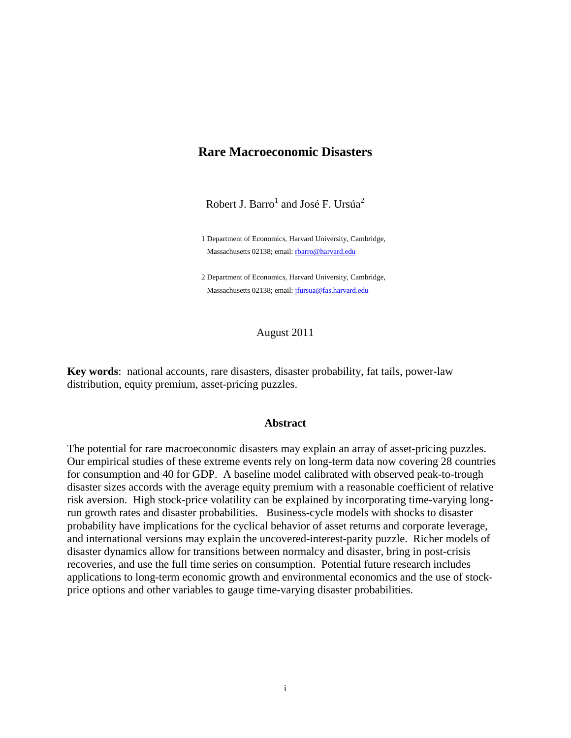## **Rare Macroeconomic Disasters**

Robert J. Barro $^{\rm l}$  and José F. Ursúa $^{\rm 2}$ 

1 Department of Economics, Harvard University, Cambridge, Massachusetts 02138; email[: rbarro@harvard.edu](mailto:rbarro@harvard.edu)

2 Department of Economics, Harvard University, Cambridge, Massachusetts 02138; email[: jfursua@fas.harvard.edu](mailto:jfursua@fas.harvard.edu)

August 2011

**Key words**: national accounts, rare disasters, disaster probability, fat tails, power-law distribution, equity premium, asset-pricing puzzles.

#### **Abstract**

The potential for rare macroeconomic disasters may explain an array of asset-pricing puzzles. Our empirical studies of these extreme events rely on long-term data now covering 28 countries for consumption and 40 for GDP. A baseline model calibrated with observed peak-to-trough disaster sizes accords with the average equity premium with a reasonable coefficient of relative risk aversion. High stock-price volatility can be explained by incorporating time-varying longrun growth rates and disaster probabilities. Business-cycle models with shocks to disaster probability have implications for the cyclical behavior of asset returns and corporate leverage, and international versions may explain the uncovered-interest-parity puzzle. Richer models of disaster dynamics allow for transitions between normalcy and disaster, bring in post-crisis recoveries, and use the full time series on consumption. Potential future research includes applications to long-term economic growth and environmental economics and the use of stockprice options and other variables to gauge time-varying disaster probabilities.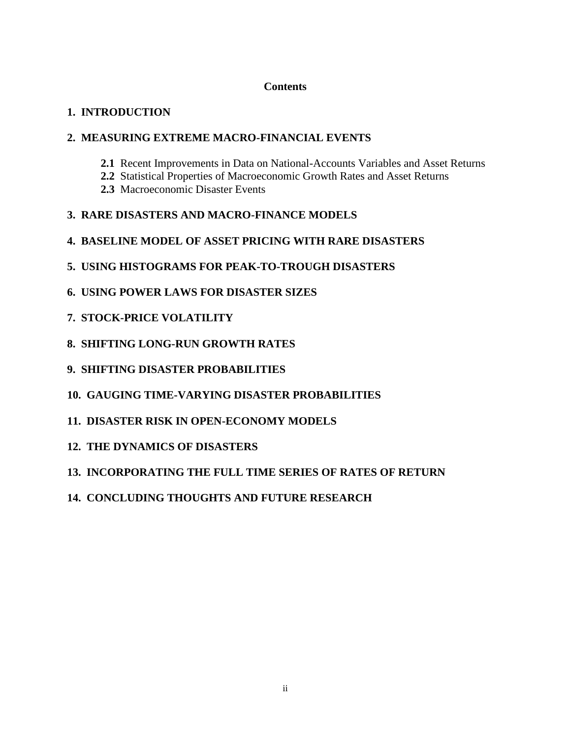## **Contents**

# **1. INTRODUCTION**

# **2. MEASURING EXTREME MACRO-FINANCIAL EVENTS**

- **2.1** Recent Improvements in Data on National-Accounts Variables and Asset Returns
- **2.2** Statistical Properties of Macroeconomic Growth Rates and Asset Returns
- **2.3** Macroeconomic Disaster Events
- **3. RARE DISASTERS AND MACRO-FINANCE MODELS**
- **4. BASELINE MODEL OF ASSET PRICING WITH RARE DISASTERS**
- **5. USING HISTOGRAMS FOR PEAK-TO-TROUGH DISASTERS**
- **6. USING POWER LAWS FOR DISASTER SIZES**
- **7. STOCK-PRICE VOLATILITY**
- **8. SHIFTING LONG-RUN GROWTH RATES**
- **9. SHIFTING DISASTER PROBABILITIES**
- **10. GAUGING TIME-VARYING DISASTER PROBABILITIES**
- **11. DISASTER RISK IN OPEN-ECONOMY MODELS**
- **12. THE DYNAMICS OF DISASTERS**
- **13. INCORPORATING THE FULL TIME SERIES OF RATES OF RETURN**
- **14. CONCLUDING THOUGHTS AND FUTURE RESEARCH**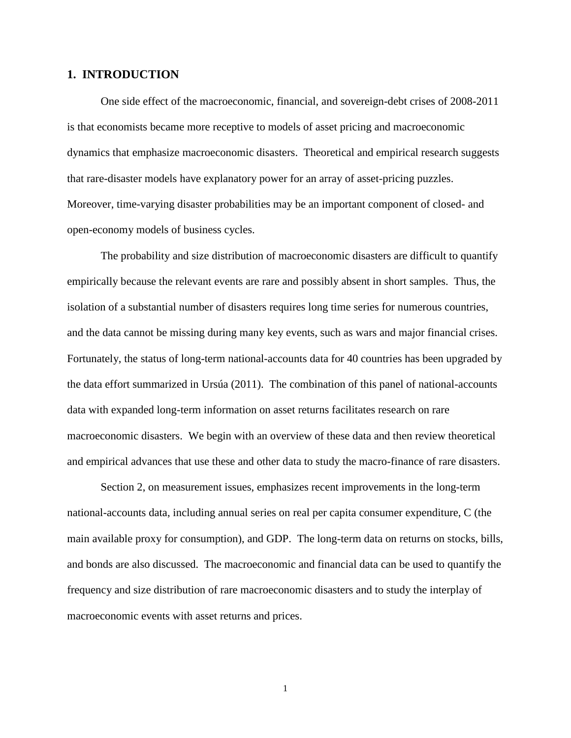### **1. INTRODUCTION**

One side effect of the macroeconomic, financial, and sovereign-debt crises of 2008-2011 is that economists became more receptive to models of asset pricing and macroeconomic dynamics that emphasize macroeconomic disasters. Theoretical and empirical research suggests that rare-disaster models have explanatory power for an array of asset-pricing puzzles. Moreover, time-varying disaster probabilities may be an important component of closed- and open-economy models of business cycles.

The probability and size distribution of macroeconomic disasters are difficult to quantify empirically because the relevant events are rare and possibly absent in short samples. Thus, the isolation of a substantial number of disasters requires long time series for numerous countries, and the data cannot be missing during many key events, such as wars and major financial crises. Fortunately, the status of long-term national-accounts data for 40 countries has been upgraded by the data effort summarized in Ursúa (2011). The combination of this panel of national-accounts data with expanded long-term information on asset returns facilitates research on rare macroeconomic disasters. We begin with an overview of these data and then review theoretical and empirical advances that use these and other data to study the macro-finance of rare disasters.

Section 2, on measurement issues, emphasizes recent improvements in the long-term national-accounts data, including annual series on real per capita consumer expenditure, C (the main available proxy for consumption), and GDP. The long-term data on returns on stocks, bills, and bonds are also discussed. The macroeconomic and financial data can be used to quantify the frequency and size distribution of rare macroeconomic disasters and to study the interplay of macroeconomic events with asset returns and prices.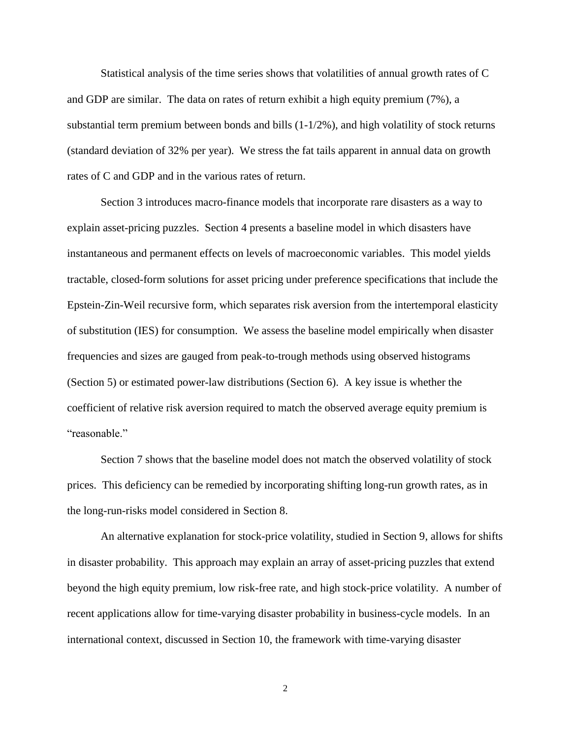Statistical analysis of the time series shows that volatilities of annual growth rates of C and GDP are similar. The data on rates of return exhibit a high equity premium (7%), a substantial term premium between bonds and bills  $(1-1/2%)$ , and high volatility of stock returns (standard deviation of 32% per year). We stress the fat tails apparent in annual data on growth rates of C and GDP and in the various rates of return.

Section 3 introduces macro-finance models that incorporate rare disasters as a way to explain asset-pricing puzzles. Section 4 presents a baseline model in which disasters have instantaneous and permanent effects on levels of macroeconomic variables. This model yields tractable, closed-form solutions for asset pricing under preference specifications that include the Epstein-Zin-Weil recursive form, which separates risk aversion from the intertemporal elasticity of substitution (IES) for consumption. We assess the baseline model empirically when disaster frequencies and sizes are gauged from peak-to-trough methods using observed histograms (Section 5) or estimated power-law distributions (Section 6). A key issue is whether the coefficient of relative risk aversion required to match the observed average equity premium is "reasonable."

Section 7 shows that the baseline model does not match the observed volatility of stock prices. This deficiency can be remedied by incorporating shifting long-run growth rates, as in the long-run-risks model considered in Section 8.

An alternative explanation for stock-price volatility, studied in Section 9, allows for shifts in disaster probability. This approach may explain an array of asset-pricing puzzles that extend beyond the high equity premium, low risk-free rate, and high stock-price volatility. A number of recent applications allow for time-varying disaster probability in business-cycle models. In an international context, discussed in Section 10, the framework with time-varying disaster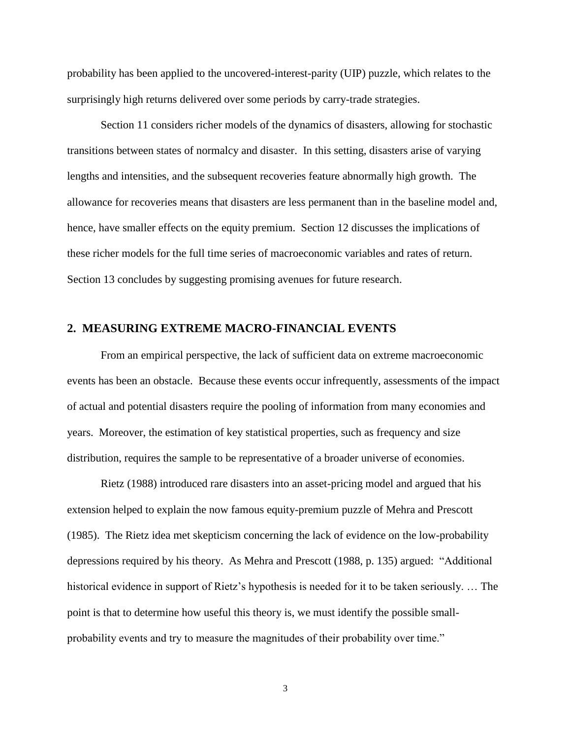probability has been applied to the uncovered-interest-parity (UIP) puzzle, which relates to the surprisingly high returns delivered over some periods by carry-trade strategies.

Section 11 considers richer models of the dynamics of disasters, allowing for stochastic transitions between states of normalcy and disaster. In this setting, disasters arise of varying lengths and intensities, and the subsequent recoveries feature abnormally high growth. The allowance for recoveries means that disasters are less permanent than in the baseline model and, hence, have smaller effects on the equity premium. Section 12 discusses the implications of these richer models for the full time series of macroeconomic variables and rates of return. Section 13 concludes by suggesting promising avenues for future research.

### **2. MEASURING EXTREME MACRO-FINANCIAL EVENTS**

From an empirical perspective, the lack of sufficient data on extreme macroeconomic events has been an obstacle. Because these events occur infrequently, assessments of the impact of actual and potential disasters require the pooling of information from many economies and years. Moreover, the estimation of key statistical properties, such as frequency and size distribution, requires the sample to be representative of a broader universe of economies.

Rietz (1988) introduced rare disasters into an asset-pricing model and argued that his extension helped to explain the now famous equity-premium puzzle of Mehra and Prescott (1985). The Rietz idea met skepticism concerning the lack of evidence on the low-probability depressions required by his theory. As Mehra and Prescott (1988, p. 135) argued: "Additional historical evidence in support of Rietz's hypothesis is needed for it to be taken seriously. … The point is that to determine how useful this theory is, we must identify the possible smallprobability events and try to measure the magnitudes of their probability over time."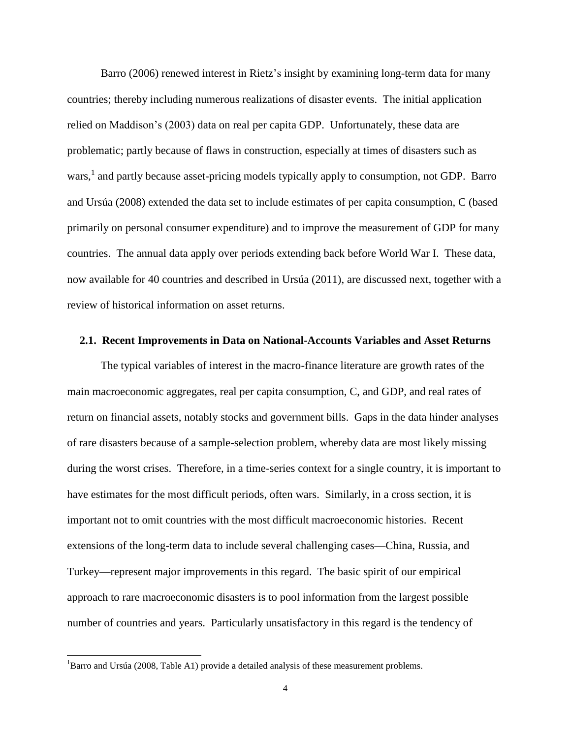Barro (2006) renewed interest in Rietz's insight by examining long-term data for many countries; thereby including numerous realizations of disaster events. The initial application relied on Maddison's (2003) data on real per capita GDP. Unfortunately, these data are problematic; partly because of flaws in construction, especially at times of disasters such as wars,<sup>1</sup> and partly because asset-pricing models typically apply to consumption, not GDP. Barro and Ursúa (2008) extended the data set to include estimates of per capita consumption, C (based primarily on personal consumer expenditure) and to improve the measurement of GDP for many countries. The annual data apply over periods extending back before World War I. These data, now available for 40 countries and described in Ursúa (2011), are discussed next, together with a review of historical information on asset returns.

### **2.1. Recent Improvements in Data on National-Accounts Variables and Asset Returns**

The typical variables of interest in the macro-finance literature are growth rates of the main macroeconomic aggregates, real per capita consumption, C, and GDP, and real rates of return on financial assets, notably stocks and government bills. Gaps in the data hinder analyses of rare disasters because of a sample-selection problem, whereby data are most likely missing during the worst crises. Therefore, in a time-series context for a single country, it is important to have estimates for the most difficult periods, often wars. Similarly, in a cross section, it is important not to omit countries with the most difficult macroeconomic histories. Recent extensions of the long-term data to include several challenging cases—China, Russia, and Turkey—represent major improvements in this regard. The basic spirit of our empirical approach to rare macroeconomic disasters is to pool information from the largest possible number of countries and years. Particularly unsatisfactory in this regard is the tendency of

l

<sup>&</sup>lt;sup>1</sup>Barro and Ursúa (2008, Table A1) provide a detailed analysis of these measurement problems.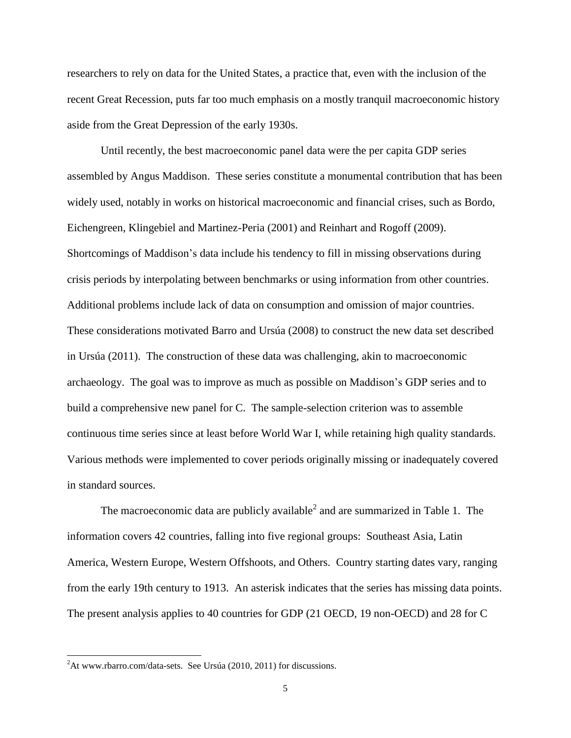researchers to rely on data for the United States, a practice that, even with the inclusion of the recent Great Recession, puts far too much emphasis on a mostly tranquil macroeconomic history aside from the Great Depression of the early 1930s.

Until recently, the best macroeconomic panel data were the per capita GDP series assembled by Angus Maddison. These series constitute a monumental contribution that has been widely used, notably in works on historical macroeconomic and financial crises, such as Bordo, Eichengreen, Klingebiel and Martinez-Peria (2001) and Reinhart and Rogoff (2009). Shortcomings of Maddison's data include his tendency to fill in missing observations during crisis periods by interpolating between benchmarks or using information from other countries. Additional problems include lack of data on consumption and omission of major countries. These considerations motivated Barro and Ursúa (2008) to construct the new data set described in Ursúa (2011). The construction of these data was challenging, akin to macroeconomic archaeology. The goal was to improve as much as possible on Maddison's GDP series and to build a comprehensive new panel for C. The sample-selection criterion was to assemble continuous time series since at least before World War I, while retaining high quality standards. Various methods were implemented to cover periods originally missing or inadequately covered in standard sources.

The macroeconomic data are publicly available<sup>2</sup> and are summarized in [Table 1.](#page-40-0) The information covers 42 countries, falling into five regional groups: Southeast Asia, Latin America, Western Europe, Western Offshoots, and Others. Country starting dates vary, ranging from the early 19th century to 1913. An asterisk indicates that the series has missing data points. The present analysis applies to 40 countries for GDP (21 OECD, 19 non-OECD) and 28 for C

l

 $^{2}$ At www.rbarro.com/data-sets. See Ursúa (2010, 2011) for discussions.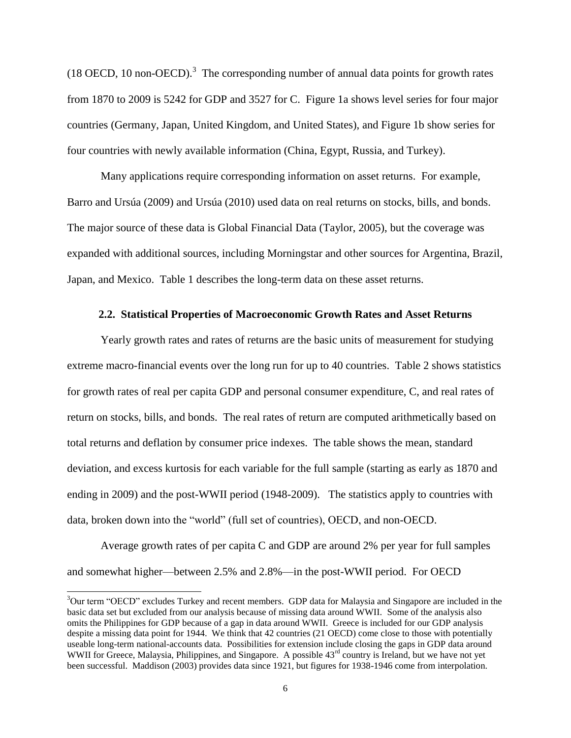(18 OECD, 10 non-OECD).<sup>3</sup> The corresponding number of annual data points for growth rates from 1870 to 2009 is 5242 for GDP and 3527 for C. Figure 1a shows level series for four major countries (Germany, Japan, United Kingdom, and United States), and Figure 1b show series for four countries with newly available information (China, Egypt, Russia, and Turkey).

Many applications require corresponding information on asset returns. For example, Barro and Ursúa (2009) and Ursúa (2010) used data on real returns on stocks, bills, and bonds. The major source of these data is Global Financial Data (Taylor, 2005), but the coverage was expanded with additional sources, including Morningstar and other sources for Argentina, Brazil, Japan, and Mexico. Table 1 describes the long-term data on these asset returns.

#### **2.2. Statistical Properties of Macroeconomic Growth Rates and Asset Returns**

Yearly growth rates and rates of returns are the basic units of measurement for studying extreme macro-financial events over the long run for up to 40 countries. Table 2 shows statistics for growth rates of real per capita GDP and personal consumer expenditure, C, and real rates of return on stocks, bills, and bonds. The real rates of return are computed arithmetically based on total returns and deflation by consumer price indexes. The table shows the mean, standard deviation, and excess kurtosis for each variable for the full sample (starting as early as 1870 and ending in 2009) and the post-WWII period (1948-2009). The statistics apply to countries with data, broken down into the "world" (full set of countries), OECD, and non-OECD.

Average growth rates of per capita C and GDP are around 2% per year for full samples and somewhat higher—between 2.5% and 2.8%—in the post-WWII period. For OECD

<sup>&</sup>lt;sup>3</sup>Our term "OECD" excludes Turkey and recent members. GDP data for Malaysia and Singapore are included in the basic data set but excluded from our analysis because of missing data around WWII. Some of the analysis also omits the Philippines for GDP because of a gap in data around WWII. Greece is included for our GDP analysis despite a missing data point for 1944. We think that 42 countries (21 OECD) come close to those with potentially useable long-term national-accounts data. Possibilities for extension include closing the gaps in GDP data around WWII for Greece, Malaysia, Philippines, and Singapore. A possible 43<sup>rd</sup> country is Ireland, but we have not yet been successful. Maddison (2003) provides data since 1921, but figures for 1938-1946 come from interpolation.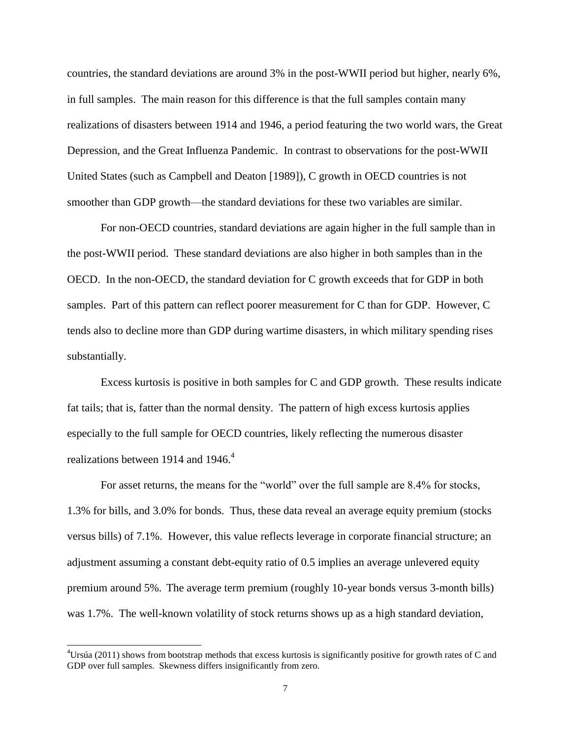countries, the standard deviations are around 3% in the post-WWII period but higher, nearly 6%, in full samples. The main reason for this difference is that the full samples contain many realizations of disasters between 1914 and 1946, a period featuring the two world wars, the Great Depression, and the Great Influenza Pandemic. In contrast to observations for the post-WWII United States (such as Campbell and Deaton [1989]), C growth in OECD countries is not smoother than GDP growth—the standard deviations for these two variables are similar.

For non-OECD countries, standard deviations are again higher in the full sample than in the post-WWII period. These standard deviations are also higher in both samples than in the OECD. In the non-OECD, the standard deviation for C growth exceeds that for GDP in both samples. Part of this pattern can reflect poorer measurement for C than for GDP. However, C tends also to decline more than GDP during wartime disasters, in which military spending rises substantially.

Excess kurtosis is positive in both samples for C and GDP growth. These results indicate fat tails; that is, fatter than the normal density. The pattern of high excess kurtosis applies especially to the full sample for OECD countries, likely reflecting the numerous disaster realizations between 1914 and 1946.<sup>4</sup>

For asset returns, the means for the "world" over the full sample are 8.4% for stocks, 1.3% for bills, and 3.0% for bonds. Thus, these data reveal an average equity premium (stocks versus bills) of 7.1%. However, this value reflects leverage in corporate financial structure; an adjustment assuming a constant debt-equity ratio of 0.5 implies an average unlevered equity premium around 5%. The average term premium (roughly 10-year bonds versus 3-month bills) was 1.7%. The well-known volatility of stock returns shows up as a high standard deviation,

 $4$ Ursúa (2011) shows from bootstrap methods that excess kurtosis is significantly positive for growth rates of C and GDP over full samples. Skewness differs insignificantly from zero.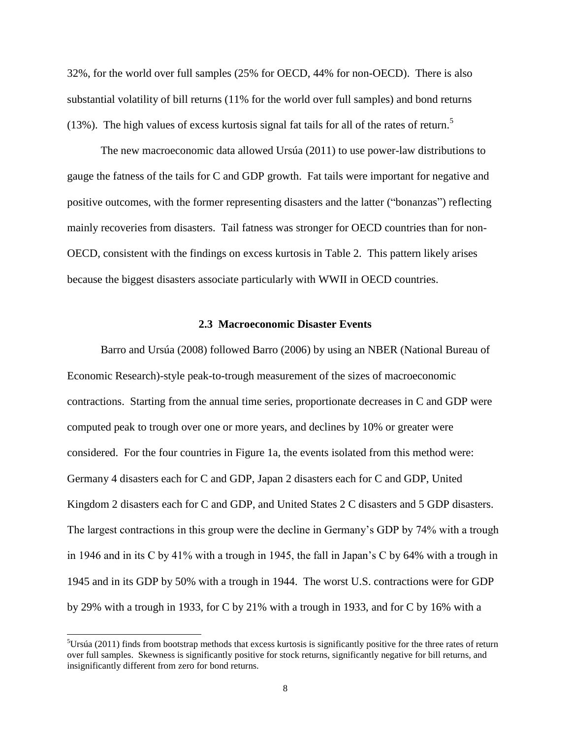32%, for the world over full samples (25% for OECD, 44% for non-OECD). There is also substantial volatility of bill returns (11% for the world over full samples) and bond returns (13%). The high values of excess kurtosis signal fat tails for all of the rates of return.<sup>5</sup>

The new macroeconomic data allowed Ursúa (2011) to use power-law distributions to gauge the fatness of the tails for C and GDP growth. Fat tails were important for negative and positive outcomes, with the former representing disasters and the latter ("bonanzas") reflecting mainly recoveries from disasters. Tail fatness was stronger for OECD countries than for non-OECD, consistent with the findings on excess kurtosis in Table 2. This pattern likely arises because the biggest disasters associate particularly with WWII in OECD countries.

### **2.3 Macroeconomic Disaster Events**

Barro and Ursúa (2008) followed Barro (2006) by using an NBER (National Bureau of Economic Research)-style peak-to-trough measurement of the sizes of macroeconomic contractions. Starting from the annual time series, proportionate decreases in C and GDP were computed peak to trough over one or more years, and declines by 10% or greater were considered. For the four countries in Figure 1a, the events isolated from this method were: Germany 4 disasters each for C and GDP, Japan 2 disasters each for C and GDP, United Kingdom 2 disasters each for C and GDP, and United States 2 C disasters and 5 GDP disasters. The largest contractions in this group were the decline in Germany's GDP by 74% with a trough in 1946 and in its C by 41% with a trough in 1945, the fall in Japan's C by 64% with a trough in 1945 and in its GDP by 50% with a trough in 1944. The worst U.S. contractions were for GDP by 29% with a trough in 1933, for C by 21% with a trough in 1933, and for C by 16% with a

l

 $5$ Ursúa (2011) finds from bootstrap methods that excess kurtosis is significantly positive for the three rates of return over full samples. Skewness is significantly positive for stock returns, significantly negative for bill returns, and insignificantly different from zero for bond returns.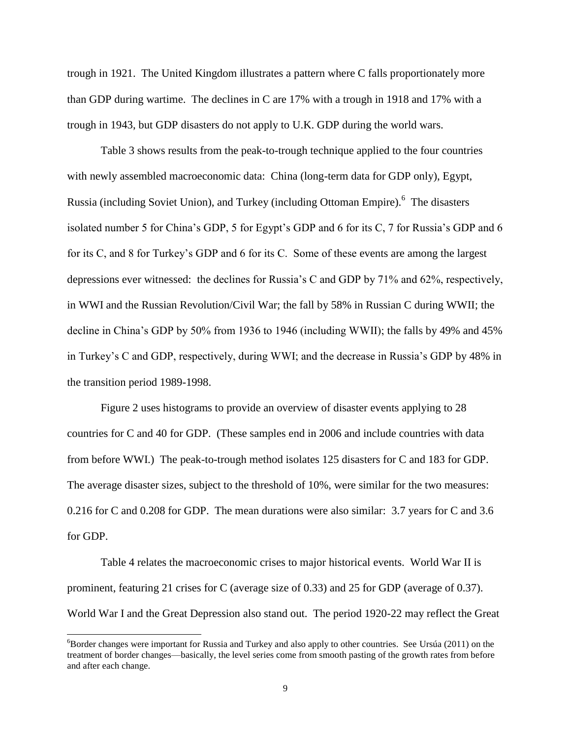trough in 1921. The United Kingdom illustrates a pattern where C falls proportionately more than GDP during wartime. The declines in C are 17% with a trough in 1918 and 17% with a trough in 1943, but GDP disasters do not apply to U.K. GDP during the world wars.

Table 3 shows results from the peak-to-trough technique applied to the four countries with newly assembled macroeconomic data: China (long-term data for GDP only), Egypt, Russia (including Soviet Union), and Turkey (including Ottoman Empire).<sup>6</sup> The disasters isolated number 5 for China's GDP, 5 for Egypt's GDP and 6 for its C, 7 for Russia's GDP and 6 for its C, and 8 for Turkey's GDP and 6 for its C. Some of these events are among the largest depressions ever witnessed: the declines for Russia's C and GDP by 71% and 62%, respectively, in WWI and the Russian Revolution/Civil War; the fall by 58% in Russian C during WWII; the decline in China's GDP by 50% from 1936 to 1946 (including WWII); the falls by 49% and 45% in Turkey's C and GDP, respectively, during WWI; and the decrease in Russia's GDP by 48% in the transition period 1989-1998.

Figure 2 uses histograms to provide an overview of disaster events applying to 28 countries for C and 40 for GDP. (These samples end in 2006 and include countries with data from before WWI.) The peak-to-trough method isolates 125 disasters for C and 183 for GDP. The average disaster sizes, subject to the threshold of 10%, were similar for the two measures: 0.216 for C and 0.208 for GDP. The mean durations were also similar: 3.7 years for C and 3.6 for GDP.

Table 4 relates the macroeconomic crises to major historical events. World War II is prominent, featuring 21 crises for C (average size of 0.33) and 25 for GDP (average of 0.37). World War I and the Great Depression also stand out. The period 1920-22 may reflect the Great

l

 ${}^{6}$ Border changes were important for Russia and Turkey and also apply to other countries. See Ursúa (2011) on the treatment of border changes—basically, the level series come from smooth pasting of the growth rates from before and after each change.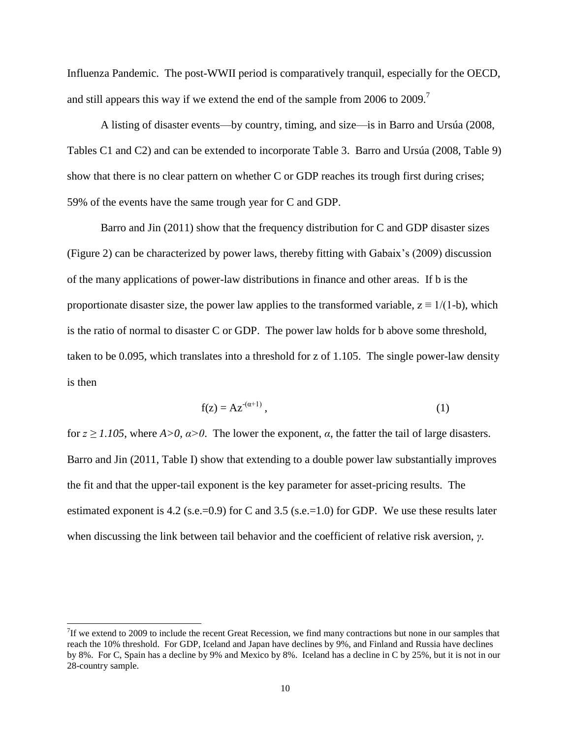Influenza Pandemic. The post-WWII period is comparatively tranquil, especially for the OECD, and still appears this way if we extend the end of the sample from 2006 to 2009.<sup>7</sup>

A listing of disaster events—by country, timing, and size—is in Barro and Ursúa (2008, Tables C1 and C2) and can be extended to incorporate Table 3. Barro and Ursúa (2008, Table 9) show that there is no clear pattern on whether C or GDP reaches its trough first during crises; 59% of the events have the same trough year for C and GDP.

Barro and Jin (2011) show that the frequency distribution for C and GDP disaster sizes (Figure 2) can be characterized by power laws, thereby fitting with Gabaix's (2009) discussion of the many applications of power-law distributions in finance and other areas. If b is the proportionate disaster size, the power law applies to the transformed variable,  $z = 1/(1-b)$ , which is the ratio of normal to disaster C or GDP. The power law holds for b above some threshold, taken to be 0.095, which translates into a threshold for z of 1.105. The single power-law density is then

$$
f(z) = Az^{(\alpha+1)},\tag{1}
$$

for  $z \ge 1.105$ , where  $A > 0$ ,  $\alpha > 0$ . The lower the exponent,  $\alpha$ , the fatter the tail of large disasters. Barro and Jin (2011, Table I) show that extending to a double power law substantially improves the fit and that the upper-tail exponent is the key parameter for asset-pricing results. The estimated exponent is 4.2 (s.e.=0.9) for C and 3.5 (s.e.=1.0) for GDP. We use these results later when discussing the link between tail behavior and the coefficient of relative risk aversion, *γ*.

<sup>&</sup>lt;sup>7</sup>If we extend to 2009 to include the recent Great Recession, we find many contractions but none in our samples that reach the 10% threshold. For GDP, Iceland and Japan have declines by 9%, and Finland and Russia have declines by 8%. For C, Spain has a decline by 9% and Mexico by 8%. Iceland has a decline in C by 25%, but it is not in our 28-country sample.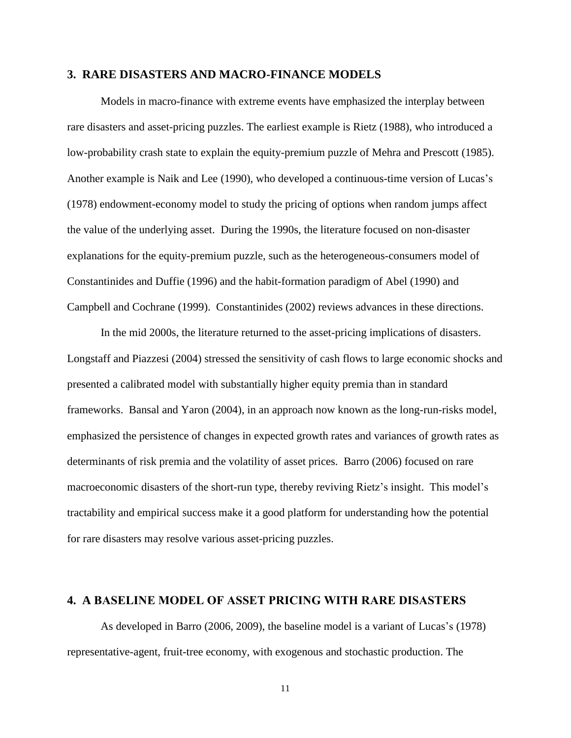#### **3. RARE DISASTERS AND MACRO-FINANCE MODELS**

Models in macro-finance with extreme events have emphasized the interplay between rare disasters and asset-pricing puzzles. The earliest example is Rietz (1988), who introduced a low-probability crash state to explain the equity-premium puzzle of Mehra and Prescott (1985). Another example is Naik and Lee (1990), who developed a continuous-time version of Lucas's (1978) endowment-economy model to study the pricing of options when random jumps affect the value of the underlying asset. During the 1990s, the literature focused on non-disaster explanations for the equity-premium puzzle, such as the heterogeneous-consumers model of Constantinides and Duffie (1996) and the habit-formation paradigm of Abel (1990) and Campbell and Cochrane (1999). Constantinides (2002) reviews advances in these directions.

In the mid 2000s, the literature returned to the asset-pricing implications of disasters. Longstaff and Piazzesi (2004) stressed the sensitivity of cash flows to large economic shocks and presented a calibrated model with substantially higher equity premia than in standard frameworks. Bansal and Yaron (2004), in an approach now known as the long-run-risks model, emphasized the persistence of changes in expected growth rates and variances of growth rates as determinants of risk premia and the volatility of asset prices. Barro (2006) focused on rare macroeconomic disasters of the short-run type, thereby reviving Rietz's insight. This model's tractability and empirical success make it a good platform for understanding how the potential for rare disasters may resolve various asset-pricing puzzles.

### **4. A BASELINE MODEL OF ASSET PRICING WITH RARE DISASTERS**

As developed in Barro (2006, 2009), the baseline model is a variant of Lucas's (1978) representative-agent, fruit-tree economy, with exogenous and stochastic production. The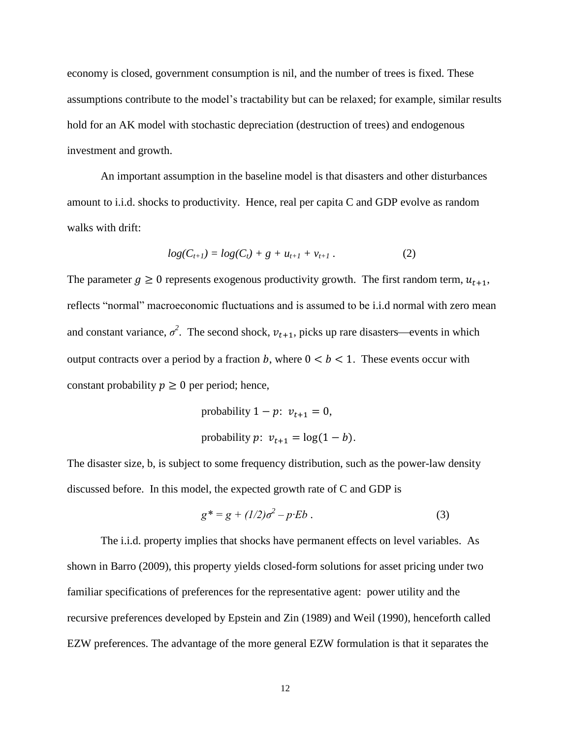economy is closed, government consumption is nil, and the number of trees is fixed. These assumptions contribute to the model's tractability but can be relaxed; for example, similar results hold for an AK model with stochastic depreciation (destruction of trees) and endogenous investment and growth.

An important assumption in the baseline model is that disasters and other disturbances amount to i.i.d. shocks to productivity. Hence, real per capita C and GDP evolve as random walks with drift:

$$
log(C_{t+1}) = log(C_t) + g + u_{t+1} + v_{t+1}.
$$
 (2)

The parameter  $g \ge 0$  represents exogenous productivity growth. The first random term,  $u_{t+1}$ , reflects "normal" macroeconomic fluctuations and is assumed to be i.i.d normal with zero mean and constant variance,  $\sigma^2$ . The second shock,  $v_{t+1}$ , picks up rare disasters—events in which output contracts over a period by a fraction b, where  $0 < b < 1$ . These events occur with constant probability  $p \geq 0$  per period; hence,

probability 
$$
1 - p
$$
:  $v_{t+1} = 0$ ,  
probability  $p$ :  $v_{t+1} = \log(1 - b)$ .

The disaster size, b, is subject to some frequency distribution, such as the power-law density discussed before. In this model, the expected growth rate of C and GDP is

$$
g^* = g + (1/2)\sigma^2 - p \cdot Eb \tag{3}
$$

The i.i.d. property implies that shocks have permanent effects on level variables. As shown in Barro (2009), this property yields closed-form solutions for asset pricing under two familiar specifications of preferences for the representative agent: power utility and the recursive preferences developed by Epstein and Zin (1989) and Weil (1990), henceforth called EZW preferences. The advantage of the more general EZW formulation is that it separates the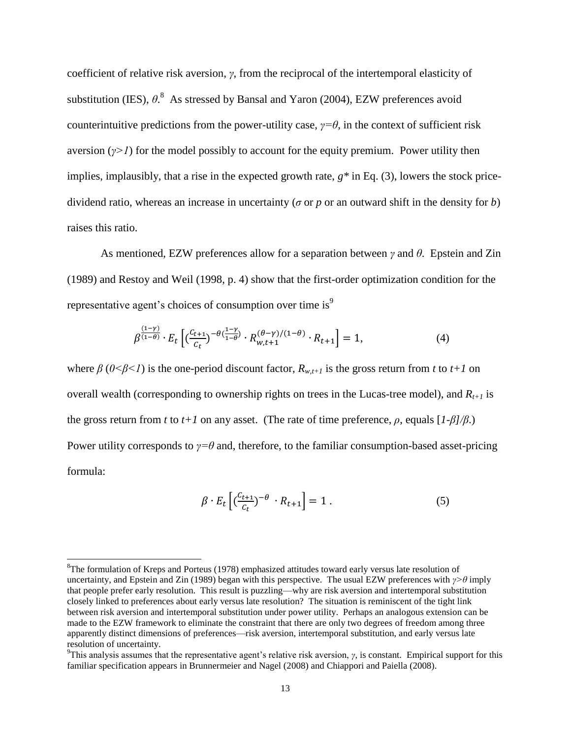coefficient of relative risk aversion, *γ*, from the reciprocal of the intertemporal elasticity of substitution (IES),  $\theta$ <sup>8</sup>. As stressed by Bansal and Yaron (2004), EZW preferences avoid counterintuitive predictions from the power-utility case,  $\gamma = \theta$ , in the context of sufficient risk aversion  $(y>1)$  for the model possibly to account for the equity premium. Power utility then implies, implausibly, that a rise in the expected growth rate, *g\** in Eq. (3), lowers the stock pricedividend ratio, whereas an increase in uncertainty (*σ* or *p* or an outward shift in the density for *b*) raises this ratio.

As mentioned, EZW preferences allow for a separation between *γ* and *θ*. Epstein and Zin (1989) and Restoy and Weil (1998, p. 4) show that the first-order optimization condition for the representative agent's choices of consumption over time is<sup>9</sup>

$$
\beta^{\frac{(1-\gamma)}{(1-\theta)}} \cdot E_t \left[ \left( \frac{C_{t+1}}{C_t} \right)^{-\theta \left( \frac{1-\gamma}{1-\theta} \right)} \cdot R_{w,t+1}^{(\theta-\gamma)/(1-\theta)} \cdot R_{t+1} \right] = 1, \tag{4}
$$

where  $\beta$  ( $0 \le \beta \le 1$ ) is the one-period discount factor,  $R_{w,t+1}$  is the gross return from *t* to *t*+1 on overall wealth (corresponding to ownership rights on trees in the Lucas-tree model), and  $R_{t+1}$  is the gross return from *t* to *t*+*l* on any asset. (The rate of time preference,  $\rho$ , equals  $[I - \beta]/\beta$ .) Power utility corresponds to  $\gamma = \theta$  and, therefore, to the familiar consumption-based asset-pricing formula:

$$
\beta \cdot E_t \left[ \left( \frac{c_{t+1}}{c_t} \right)^{-\theta} \cdot R_{t+1} \right] = 1 \tag{5}
$$

 ${}^{8}$ The formulation of Kreps and Porteus (1978) emphasized attitudes toward early versus late resolution of uncertainty, and Epstein and Zin (1989) began with this perspective. The usual EZW preferences with *γ>θ* imply that people prefer early resolution. This result is puzzling—why are risk aversion and intertemporal substitution closely linked to preferences about early versus late resolution? The situation is reminiscent of the tight link between risk aversion and intertemporal substitution under power utility. Perhaps an analogous extension can be made to the EZW framework to eliminate the constraint that there are only two degrees of freedom among three apparently distinct dimensions of preferences—risk aversion, intertemporal substitution, and early versus late resolution of uncertainty.

<sup>&</sup>lt;sup>9</sup>This analysis assumes that the representative agent's relative risk aversion,  $\gamma$ , is constant. Empirical support for this familiar specification appears in Brunnermeier and Nagel (2008) and Chiappori and Paiella (2008).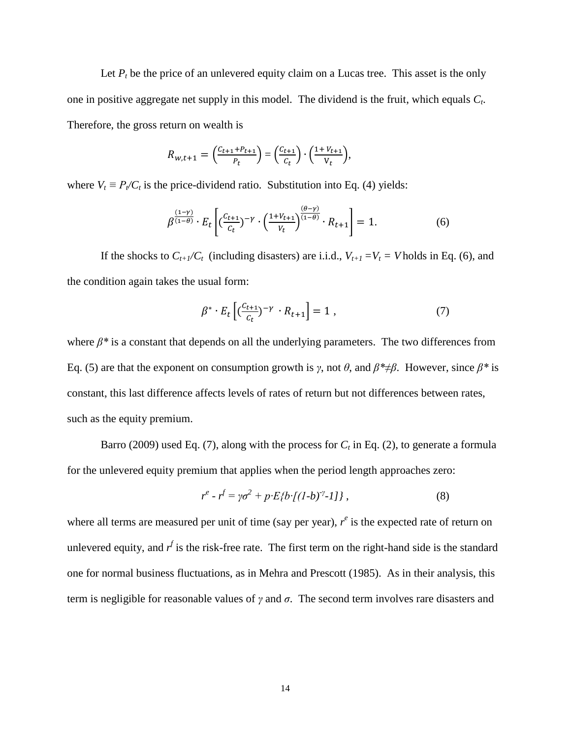Let  $P_t$  be the price of an unlevered equity claim on a Lucas tree. This asset is the only one in positive aggregate net supply in this model. The dividend is the fruit, which equals *C<sup>t</sup>* . Therefore, the gross return on wealth is

$$
R_{w,t+1} = \left(\frac{c_{t+1} + P_{t+1}}{P_t}\right) = \left(\frac{c_{t+1}}{C_t}\right) \cdot \left(\frac{1 + V_{t+1}}{V_t}\right),
$$

where  $V_t \equiv P_t / C_t$  is the price-dividend ratio. Substitution into Eq. (4) yields:

$$
\beta^{\frac{(1-\gamma)}{(1-\theta)}} \cdot E_t \left[ \left( \frac{c_{t+1}}{c_t} \right)^{-\gamma} \cdot \left( \frac{1+V_{t+1}}{V_t} \right)^{\frac{(\theta-\gamma)}{(1-\theta)}} \cdot R_{t+1} \right] = 1. \tag{6}
$$

If the shocks to  $C_{t+1}/C_t$  (including disasters) are i.i.d.,  $V_{t+1} = V_t = V$  holds in Eq. (6), and the condition again takes the usual form:

$$
\beta^* \cdot E_t \left[ \left( \frac{c_{t+1}}{c_t} \right)^{-\gamma} \cdot R_{t+1} \right] = 1 , \qquad (7)
$$

where  $\beta^*$  is a constant that depends on all the underlying parameters. The two differences from Eq. (5) are that the exponent on consumption growth is *γ*, not *θ*, and *β\**≠*β*. However, since *β\** is constant, this last difference affects levels of rates of return but not differences between rates, such as the equity premium.

Barro (2009) used Eq. (7), along with the process for  $C_t$  in Eq. (2), to generate a formula for the unlevered equity premium that applies when the period length approaches zero:

$$
r^{e} - r^{f} = \gamma \sigma^{2} + p \cdot E \{ b \cdot [(1-b)^{\gamma} - 1] \}, \qquad (8)
$$

where all terms are measured per unit of time (say per year),  $r^e$  is the expected rate of return on unlevered equity, and  $r<sup>f</sup>$  is the risk-free rate. The first term on the right-hand side is the standard one for normal business fluctuations, as in Mehra and Prescott (1985). As in their analysis, this term is negligible for reasonable values of *γ* and *σ*. The second term involves rare disasters and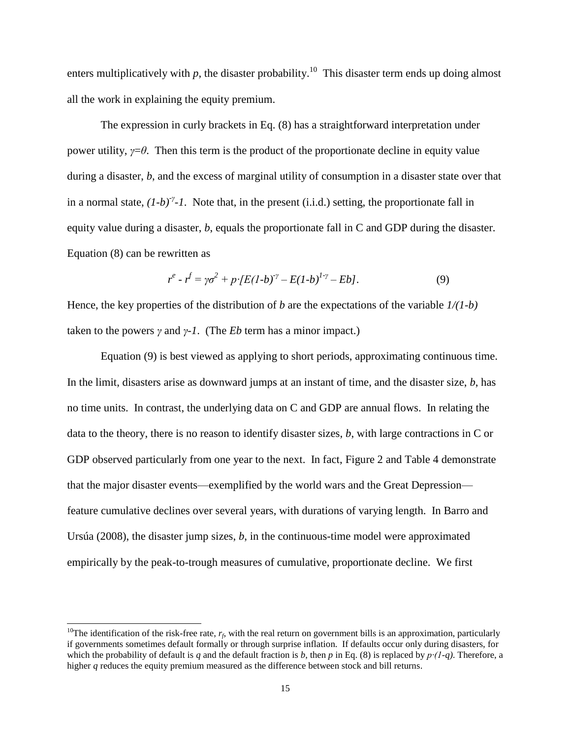enters multiplicatively with  $p$ , the disaster probability.<sup>10</sup> This disaster term ends up doing almost all the work in explaining the equity premium.

The expression in curly brackets in Eq. (8) has a straightforward interpretation under power utility, *γ*=*θ*. Then this term is the product of the proportionate decline in equity value during a disaster, *b*, and the excess of marginal utility of consumption in a disaster state over that in a normal state,  $(I-b)^{\gamma}$ -*1*. Note that, in the present (i.i.d.) setting, the proportionate fall in equity value during a disaster, *b*, equals the proportionate fall in C and GDP during the disaster. Equation (8) can be rewritten as

$$
r^{e} - r^{f} = \gamma \sigma^{2} + p \cdot [E(1-b)^{\gamma} - E(1-b)^{1-\gamma} - Eb]. \tag{9}
$$

Hence, the key properties of the distribution of *b* are the expectations of the variable *1/(1-b)* taken to the powers  $\gamma$  and  $\gamma$ -*1*. (The *Eb* term has a minor impact.)

Equation (9) is best viewed as applying to short periods, approximating continuous time. In the limit, disasters arise as downward jumps at an instant of time, and the disaster size, *b*, has no time units. In contrast, the underlying data on C and GDP are annual flows. In relating the data to the theory, there is no reason to identify disaster sizes, *b*, with large contractions in C or GDP observed particularly from one year to the next. In fact, Figure 2 and Table 4 demonstrate that the major disaster events—exemplified by the world wars and the Great Depression feature cumulative declines over several years, with durations of varying length. In Barro and Ursúa (2008), the disaster jump sizes, *b*, in the continuous-time model were approximated empirically by the peak-to-trough measures of cumulative, proportionate decline. We first

<sup>&</sup>lt;sup>10</sup>The identification of the risk-free rate,  $r_f$ , with the real return on government bills is an approximation, particularly if governments sometimes default formally or through surprise inflation. If defaults occur only during disasters, for which the probability of default is *q* and the default fraction is *b*, then *p* in Eq. (8) is replaced by *p∙(1-q)*. Therefore, a higher *q* reduces the equity premium measured as the difference between stock and bill returns.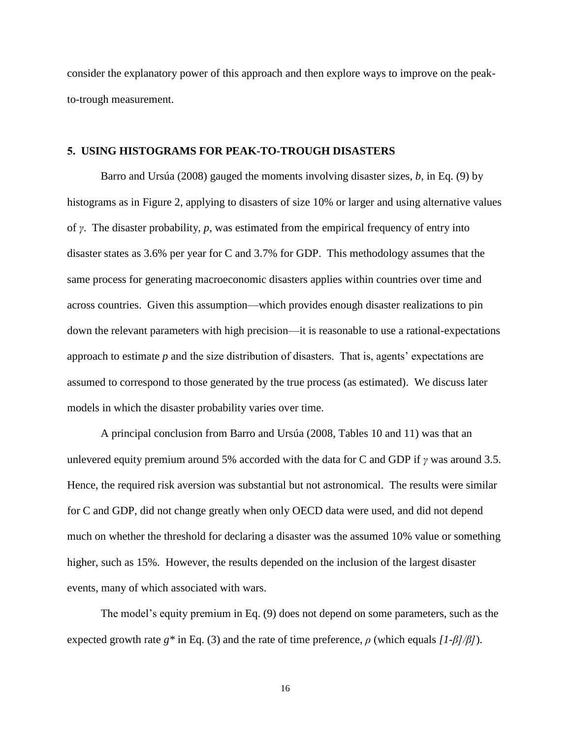consider the explanatory power of this approach and then explore ways to improve on the peakto-trough measurement.

### **5. USING HISTOGRAMS FOR PEAK-TO-TROUGH DISASTERS**

Barro and Ursúa (2008) gauged the moments involving disaster sizes, *b,* in Eq. (9) by histograms as in Figure 2, applying to disasters of size 10% or larger and using alternative values of *γ*. The disaster probability, *p*, was estimated from the empirical frequency of entry into disaster states as 3.6% per year for C and 3.7% for GDP. This methodology assumes that the same process for generating macroeconomic disasters applies within countries over time and across countries. Given this assumption—which provides enough disaster realizations to pin down the relevant parameters with high precision—it is reasonable to use a rational-expectations approach to estimate *p* and the size distribution of disasters. That is, agents' expectations are assumed to correspond to those generated by the true process (as estimated). We discuss later models in which the disaster probability varies over time.

A principal conclusion from Barro and Ursúa (2008, Tables 10 and 11) was that an unlevered equity premium around 5% accorded with the data for C and GDP if *γ* was around 3.5. Hence, the required risk aversion was substantial but not astronomical. The results were similar for C and GDP, did not change greatly when only OECD data were used, and did not depend much on whether the threshold for declaring a disaster was the assumed 10% value or something higher, such as 15%. However, the results depended on the inclusion of the largest disaster events, many of which associated with wars.

The model's equity premium in Eq. (9) does not depend on some parameters, such as the expected growth rate *g\** in Eq. (3) and the rate of time preference, *ρ* (which equals *[1-β]/β]*).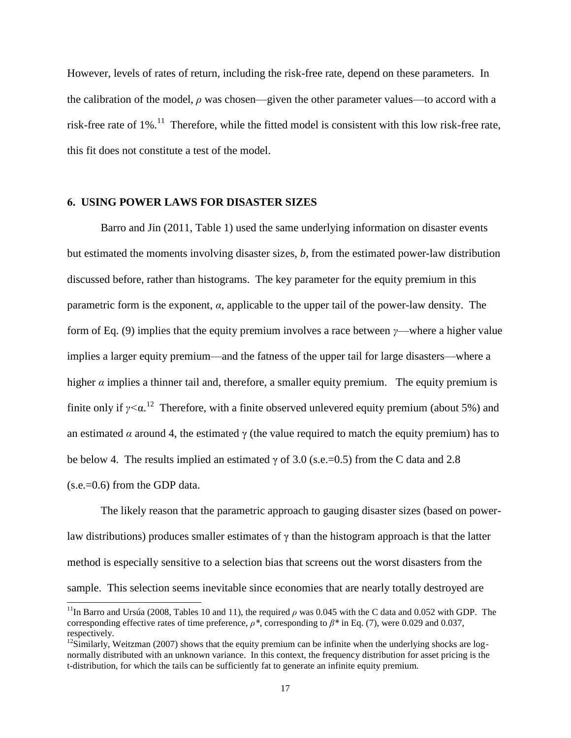However, levels of rates of return, including the risk-free rate, depend on these parameters. In the calibration of the model,  $\rho$  was chosen—given the other parameter values—to accord with a risk-free rate of  $1\%$ .<sup>11</sup> Therefore, while the fitted model is consistent with this low risk-free rate, this fit does not constitute a test of the model.

#### **6. USING POWER LAWS FOR DISASTER SIZES**

 $\overline{a}$ 

Barro and Jin (2011, Table 1) used the same underlying information on disaster events but estimated the moments involving disaster sizes, *b,* from the estimated power-law distribution discussed before, rather than histograms. The key parameter for the equity premium in this parametric form is the exponent, *α*, applicable to the upper tail of the power-law density. The form of Eq. (9) implies that the equity premium involves a race between *γ*—where a higher value implies a larger equity premium—and the fatness of the upper tail for large disasters—where a higher  $\alpha$  implies a thinner tail and, therefore, a smaller equity premium. The equity premium is finite only if *γ<*α. 12 Therefore, with a finite observed unlevered equity premium (about 5%) and an estimated  $\alpha$  around 4, the estimated  $\gamma$  (the value required to match the equity premium) has to be below 4. The results implied an estimated  $\gamma$  of 3.0 (s.e.=0.5) from the C data and 2.8  $(s.e.=0.6)$  from the GDP data.

The likely reason that the parametric approach to gauging disaster sizes (based on powerlaw distributions) produces smaller estimates of  $\gamma$  than the histogram approach is that the latter method is especially sensitive to a selection bias that screens out the worst disasters from the sample. This selection seems inevitable since economies that are nearly totally destroyed are

<sup>&</sup>lt;sup>11</sup>In Barro and Ursúa (2008, Tables 10 and 11), the required  $\rho$  was 0.045 with the C data and 0.052 with GDP. The corresponding effective rates of time preference, *ρ\**, corresponding to *β\** in Eq. (7), were 0.029 and 0.037, respectively.

 $12$ Similarly, Weitzman (2007) shows that the equity premium can be infinite when the underlying shocks are lognormally distributed with an unknown variance. In this context, the frequency distribution for asset pricing is the t-distribution, for which the tails can be sufficiently fat to generate an infinite equity premium.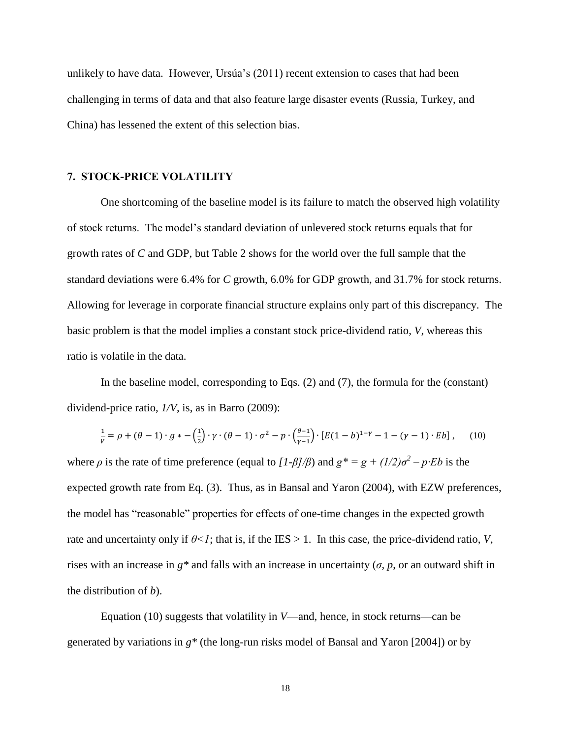unlikely to have data. However, Ursúa's (2011) recent extension to cases that had been challenging in terms of data and that also feature large disaster events (Russia, Turkey, and China) has lessened the extent of this selection bias.

### **7. STOCK-PRICE VOLATILITY**

One shortcoming of the baseline model is its failure to match the observed high volatility of stock returns. The model's standard deviation of unlevered stock returns equals that for growth rates of *C* and GDP, but Table 2 shows for the world over the full sample that the standard deviations were 6.4% for *C* growth, 6.0% for GDP growth, and 31.7% for stock returns. Allowing for leverage in corporate financial structure explains only part of this discrepancy. The basic problem is that the model implies a constant stock price-dividend ratio, *V*, whereas this ratio is volatile in the data.

In the baseline model, corresponding to Eqs. (2) and (7), the formula for the (constant) dividend-price ratio, *1/V*, is, as in Barro (2009):

$$
\frac{1}{\nu} = \rho + (\theta - 1) \cdot g * - \left(\frac{1}{2}\right) \cdot \gamma \cdot (\theta - 1) \cdot \sigma^2 - p \cdot \left(\frac{\theta - 1}{\gamma - 1}\right) \cdot \left[E(1 - b)^{1 - \gamma} - 1 - (\gamma - 1) \cdot Eb\right],\tag{10}
$$

where  $\rho$  is the rate of time preference (equal to  $\left[1-\frac{\beta}{\beta}\right]$ ) and  $g^* = g + \left(\frac{1}{2}\right)\sigma^2 - p$ *·Eb* is the expected growth rate from Eq. (3). Thus, as in Bansal and Yaron (2004), with EZW preferences, the model has "reasonable" properties for effects of one-time changes in the expected growth rate and uncertainty only if  $\theta < I$ ; that is, if the IES  $> 1$ . In this case, the price-dividend ratio, *V*, rises with an increase in  $g^*$  and falls with an increase in uncertainty ( $\sigma$ ,  $p$ , or an outward shift in the distribution of *b*).

Equation (10) suggests that volatility in *V*—and, hence, in stock returns—can be generated by variations in *g\** (the long-run risks model of Bansal and Yaron [2004]) or by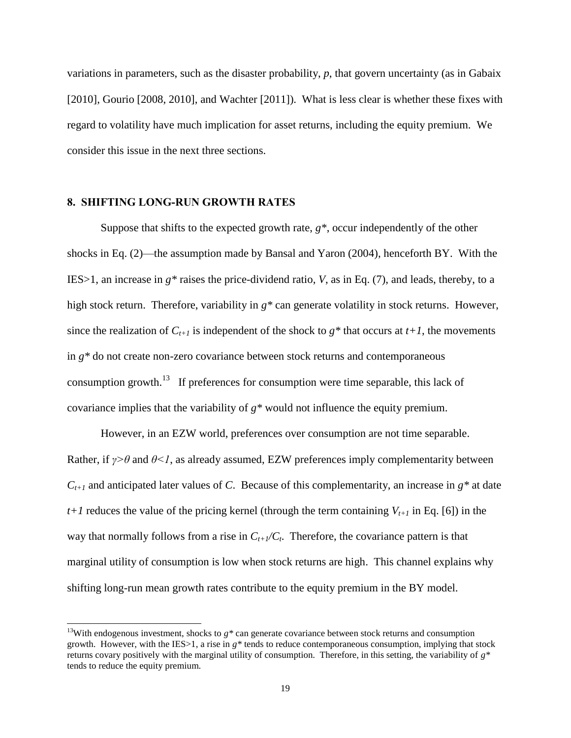variations in parameters, such as the disaster probability, *p*, that govern uncertainty (as in Gabaix [2010], Gourio [2008, 2010], and Wachter [2011]). What is less clear is whether these fixes with regard to volatility have much implication for asset returns, including the equity premium. We consider this issue in the next three sections.

#### **8. SHIFTING LONG-RUN GROWTH RATES**

 $\overline{a}$ 

Suppose that shifts to the expected growth rate, *g\**, occur independently of the other shocks in Eq. (2)—the assumption made by Bansal and Yaron (2004), henceforth BY. With the IES>1, an increase in *g\** raises the price-dividend ratio, *V*, as in Eq. (7), and leads, thereby, to a high stock return. Therefore, variability in  $g^*$  can generate volatility in stock returns. However, since the realization of  $C_{t+1}$  is independent of the shock to  $g^*$  that occurs at  $t+1$ , the movements in *g\** do not create non-zero covariance between stock returns and contemporaneous consumption growth.<sup>13</sup> If preferences for consumption were time separable, this lack of covariance implies that the variability of *g\** would not influence the equity premium.

However, in an EZW world, preferences over consumption are not time separable. Rather, if  $\gamma > \theta$  and  $\theta < 1$ , as already assumed, EZW preferences imply complementarity between  $C_{t+1}$  and anticipated later values of *C*. Because of this complementarity, an increase in  $g^*$  at date *t+1* reduces the value of the pricing kernel (through the term containing  $V_{t+1}$  in Eq. [6]) in the way that normally follows from a rise in  $C_{t+1}/C_t$ . Therefore, the covariance pattern is that marginal utility of consumption is low when stock returns are high. This channel explains why shifting long-run mean growth rates contribute to the equity premium in the BY model.

<sup>&</sup>lt;sup>13</sup>With endogenous investment, shocks to  $g^*$  can generate covariance between stock returns and consumption growth. However, with the IES $>1$ , a rise in  $g^*$  tends to reduce contemporaneous consumption, implying that stock returns covary positively with the marginal utility of consumption. Therefore, in this setting, the variability of *g\** tends to reduce the equity premium.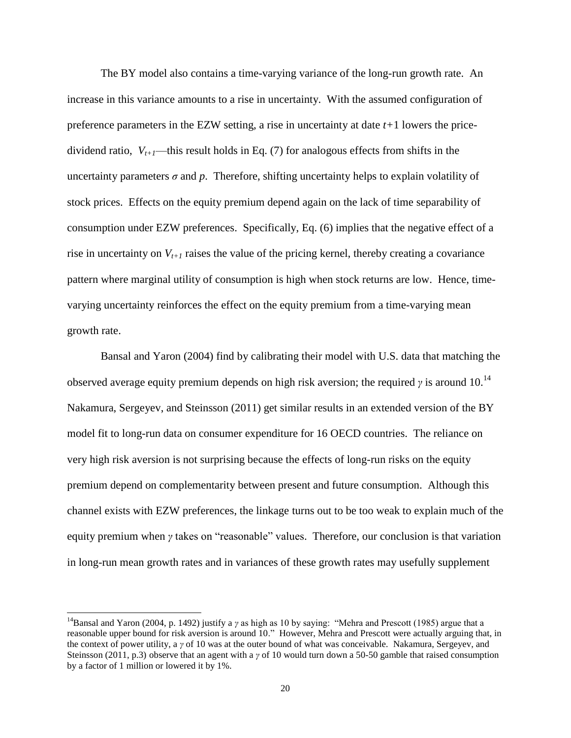The BY model also contains a time-varying variance of the long-run growth rate. An increase in this variance amounts to a rise in uncertainty. With the assumed configuration of preference parameters in the EZW setting, a rise in uncertainty at date *t+*1 lowers the pricedividend ratio,  $V_{t+1}$ —this result holds in Eq. (7) for analogous effects from shifts in the uncertainty parameters  $\sigma$  and  $p$ . Therefore, shifting uncertainty helps to explain volatility of stock prices. Effects on the equity premium depend again on the lack of time separability of consumption under EZW preferences. Specifically, Eq. (6) implies that the negative effect of a rise in uncertainty on  $V_{t+1}$  raises the value of the pricing kernel, thereby creating a covariance pattern where marginal utility of consumption is high when stock returns are low. Hence, timevarying uncertainty reinforces the effect on the equity premium from a time-varying mean growth rate.

Bansal and Yaron (2004) find by calibrating their model with U.S. data that matching the observed average equity premium depends on high risk aversion; the required  $\gamma$  is around 10.<sup>14</sup> Nakamura, Sergeyev, and Steinsson (2011) get similar results in an extended version of the BY model fit to long-run data on consumer expenditure for 16 OECD countries. The reliance on very high risk aversion is not surprising because the effects of long-run risks on the equity premium depend on complementarity between present and future consumption. Although this channel exists with EZW preferences, the linkage turns out to be too weak to explain much of the equity premium when *γ* takes on "reasonable" values. Therefore, our conclusion is that variation in long-run mean growth rates and in variances of these growth rates may usefully supplement

<sup>&</sup>lt;sup>14</sup>Bansal and Yaron (2004, p. 1492) justify a *γ* as high as 10 by saying: "Mehra and Prescott (1985) argue that a reasonable upper bound for risk aversion is around 10." However, Mehra and Prescott were actually arguing that, in the context of power utility, a *γ* of 10 was at the outer bound of what was conceivable. Nakamura, Sergeyev, and Steinsson (2011, p.3) observe that an agent with a *γ* of 10 would turn down a 50-50 gamble that raised consumption by a factor of 1 million or lowered it by 1%.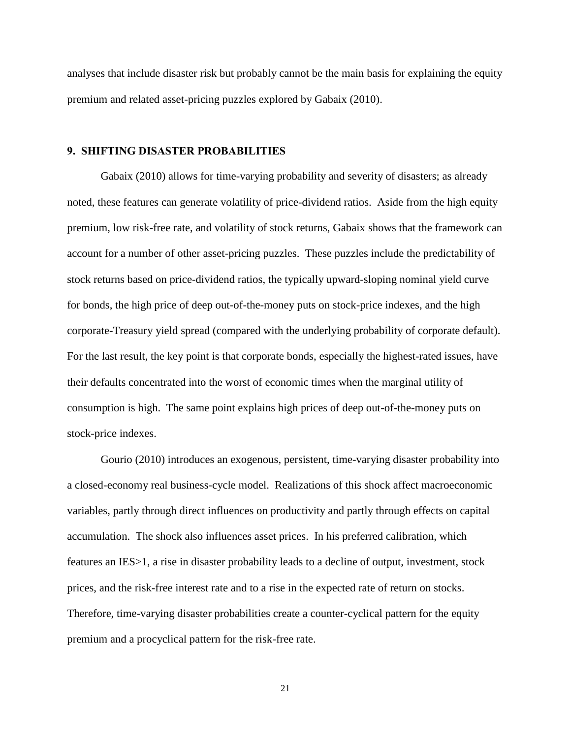analyses that include disaster risk but probably cannot be the main basis for explaining the equity premium and related asset-pricing puzzles explored by Gabaix (2010).

### **9. SHIFTING DISASTER PROBABILITIES**

Gabaix (2010) allows for time-varying probability and severity of disasters; as already noted, these features can generate volatility of price-dividend ratios. Aside from the high equity premium, low risk-free rate, and volatility of stock returns, Gabaix shows that the framework can account for a number of other asset-pricing puzzles. These puzzles include the predictability of stock returns based on price-dividend ratios, the typically upward-sloping nominal yield curve for bonds, the high price of deep out-of-the-money puts on stock-price indexes, and the high corporate-Treasury yield spread (compared with the underlying probability of corporate default). For the last result, the key point is that corporate bonds, especially the highest-rated issues, have their defaults concentrated into the worst of economic times when the marginal utility of consumption is high. The same point explains high prices of deep out-of-the-money puts on stock-price indexes.

Gourio (2010) introduces an exogenous, persistent, time-varying disaster probability into a closed-economy real business-cycle model. Realizations of this shock affect macroeconomic variables, partly through direct influences on productivity and partly through effects on capital accumulation. The shock also influences asset prices. In his preferred calibration, which features an IES>1, a rise in disaster probability leads to a decline of output, investment, stock prices, and the risk-free interest rate and to a rise in the expected rate of return on stocks. Therefore, time-varying disaster probabilities create a counter-cyclical pattern for the equity premium and a procyclical pattern for the risk-free rate.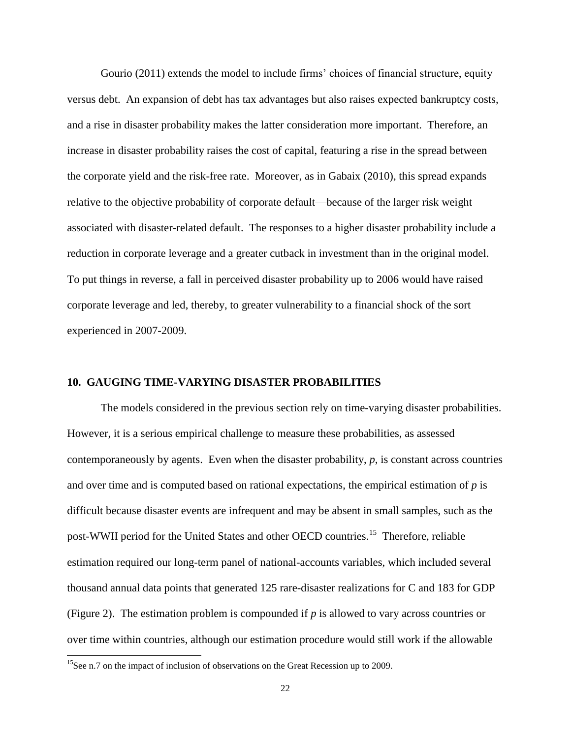Gourio (2011) extends the model to include firms' choices of financial structure, equity versus debt. An expansion of debt has tax advantages but also raises expected bankruptcy costs, and a rise in disaster probability makes the latter consideration more important. Therefore, an increase in disaster probability raises the cost of capital, featuring a rise in the spread between the corporate yield and the risk-free rate. Moreover, as in Gabaix (2010), this spread expands relative to the objective probability of corporate default—because of the larger risk weight associated with disaster-related default. The responses to a higher disaster probability include a reduction in corporate leverage and a greater cutback in investment than in the original model. To put things in reverse, a fall in perceived disaster probability up to 2006 would have raised corporate leverage and led, thereby, to greater vulnerability to a financial shock of the sort experienced in 2007-2009.

### **10. GAUGING TIME-VARYING DISASTER PROBABILITIES**

The models considered in the previous section rely on time-varying disaster probabilities. However, it is a serious empirical challenge to measure these probabilities, as assessed contemporaneously by agents. Even when the disaster probability,  $p$ , is constant across countries and over time and is computed based on rational expectations, the empirical estimation of  $p$  is difficult because disaster events are infrequent and may be absent in small samples, such as the post-WWII period for the United States and other OECD countries.<sup>15</sup> Therefore, reliable estimation required our long-term panel of national-accounts variables, which included several thousand annual data points that generated 125 rare-disaster realizations for C and 183 for GDP (Figure 2). The estimation problem is compounded if *p* is allowed to vary across countries or over time within countries, although our estimation procedure would still work if the allowable

l

<sup>&</sup>lt;sup>15</sup>See n.7 on the impact of inclusion of observations on the Great Recession up to 2009.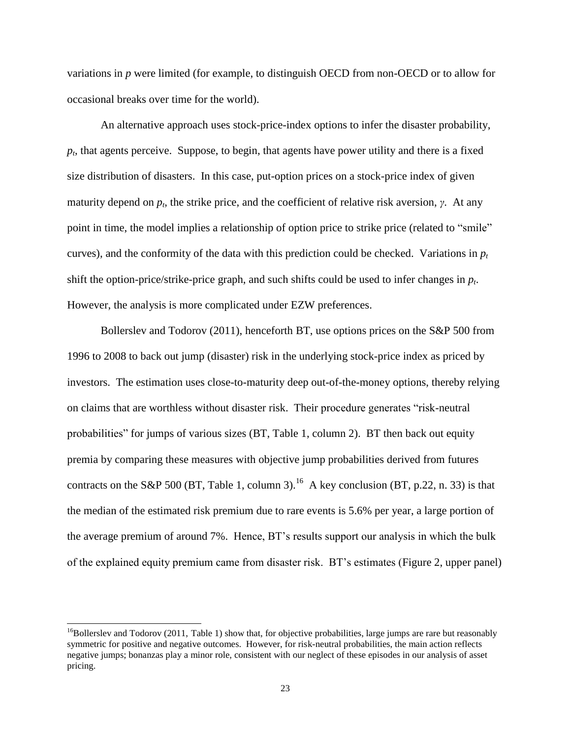variations in *p* were limited (for example, to distinguish OECD from non-OECD or to allow for occasional breaks over time for the world).

An alternative approach uses stock-price-index options to infer the disaster probability, *pt* , that agents perceive. Suppose, to begin, that agents have power utility and there is a fixed size distribution of disasters. In this case, put-option prices on a stock-price index of given maturity depend on  $p_t$ , the strike price, and the coefficient of relative risk aversion,  $\gamma$ . At any point in time, the model implies a relationship of option price to strike price (related to "smile" curves), and the conformity of the data with this prediction could be checked. Variations in  $p_t$ shift the option-price/strike-price graph, and such shifts could be used to infer changes in *p<sup>t</sup>* . However, the analysis is more complicated under EZW preferences.

Bollerslev and Todorov (2011), henceforth BT, use options prices on the S&P 500 from 1996 to 2008 to back out jump (disaster) risk in the underlying stock-price index as priced by investors. The estimation uses close-to-maturity deep out-of-the-money options, thereby relying on claims that are worthless without disaster risk. Their procedure generates "risk-neutral" probabilities" for jumps of various sizes (BT, Table 1, column 2). BT then back out equity premia by comparing these measures with objective jump probabilities derived from futures contracts on the S&P 500 (BT, Table 1, column 3).<sup>16</sup> A key conclusion (BT, p.22, n. 33) is that the median of the estimated risk premium due to rare events is 5.6% per year, a large portion of the average premium of around 7%. Hence, BT's results support our analysis in which the bulk of the explained equity premium came from disaster risk. BT's estimates (Figure 2, upper panel)

<sup>&</sup>lt;sup>16</sup>Bollerslev and Todorov (2011, Table 1) show that, for objective probabilities, large jumps are rare but reasonably symmetric for positive and negative outcomes. However, for risk-neutral probabilities, the main action reflects negative jumps; bonanzas play a minor role, consistent with our neglect of these episodes in our analysis of asset pricing.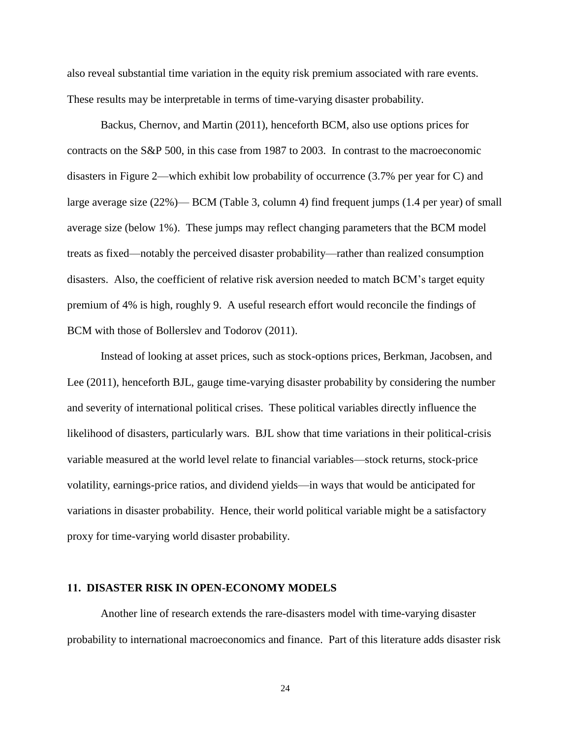also reveal substantial time variation in the equity risk premium associated with rare events. These results may be interpretable in terms of time-varying disaster probability.

Backus, Chernov, and Martin (2011), henceforth BCM, also use options prices for contracts on the S&P 500, in this case from 1987 to 2003. In contrast to the macroeconomic disasters in Figure 2—which exhibit low probability of occurrence (3.7% per year for C) and large average size (22%)— BCM (Table 3, column 4) find frequent jumps (1.4 per year) of small average size (below 1%). These jumps may reflect changing parameters that the BCM model treats as fixed—notably the perceived disaster probability—rather than realized consumption disasters. Also, the coefficient of relative risk aversion needed to match BCM's target equity premium of 4% is high, roughly 9. A useful research effort would reconcile the findings of BCM with those of Bollerslev and Todorov (2011).

Instead of looking at asset prices, such as stock-options prices, Berkman, Jacobsen, and Lee (2011), henceforth BJL, gauge time-varying disaster probability by considering the number and severity of international political crises. These political variables directly influence the likelihood of disasters, particularly wars. BJL show that time variations in their political-crisis variable measured at the world level relate to financial variables—stock returns, stock-price volatility, earnings-price ratios, and dividend yields—in ways that would be anticipated for variations in disaster probability. Hence, their world political variable might be a satisfactory proxy for time-varying world disaster probability.

#### **11. DISASTER RISK IN OPEN-ECONOMY MODELS**

Another line of research extends the rare-disasters model with time-varying disaster probability to international macroeconomics and finance. Part of this literature adds disaster risk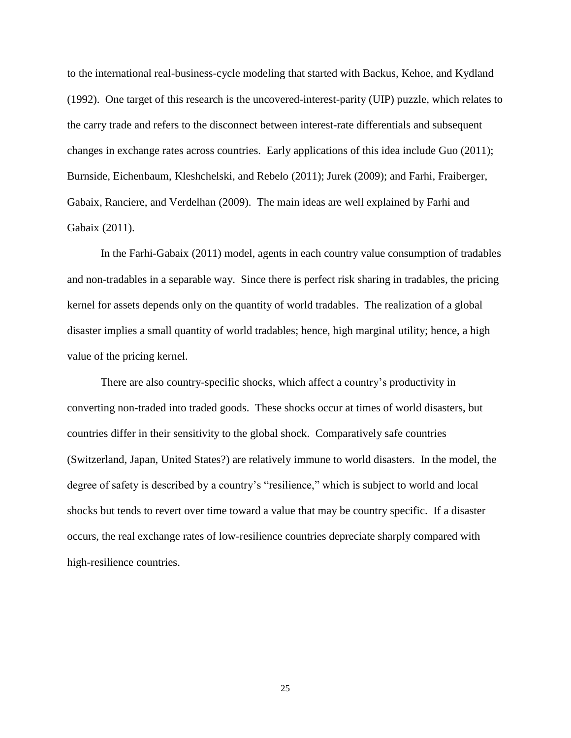to the international real-business-cycle modeling that started with Backus, Kehoe, and Kydland (1992). One target of this research is the uncovered-interest-parity (UIP) puzzle, which relates to the carry trade and refers to the disconnect between interest-rate differentials and subsequent changes in exchange rates across countries. Early applications of this idea include Guo (2011); Burnside, Eichenbaum, Kleshchelski, and Rebelo (2011); Jurek (2009); and Farhi, Fraiberger, Gabaix, Ranciere, and Verdelhan (2009). The main ideas are well explained by Farhi and Gabaix (2011).

In the Farhi-Gabaix (2011) model, agents in each country value consumption of tradables and non-tradables in a separable way. Since there is perfect risk sharing in tradables, the pricing kernel for assets depends only on the quantity of world tradables. The realization of a global disaster implies a small quantity of world tradables; hence, high marginal utility; hence, a high value of the pricing kernel.

There are also country-specific shocks, which affect a country's productivity in converting non-traded into traded goods. These shocks occur at times of world disasters, but countries differ in their sensitivity to the global shock. Comparatively safe countries (Switzerland, Japan, United States?) are relatively immune to world disasters. In the model, the degree of safety is described by a country's "resilience," which is subject to world and local shocks but tends to revert over time toward a value that may be country specific. If a disaster occurs, the real exchange rates of low-resilience countries depreciate sharply compared with high-resilience countries.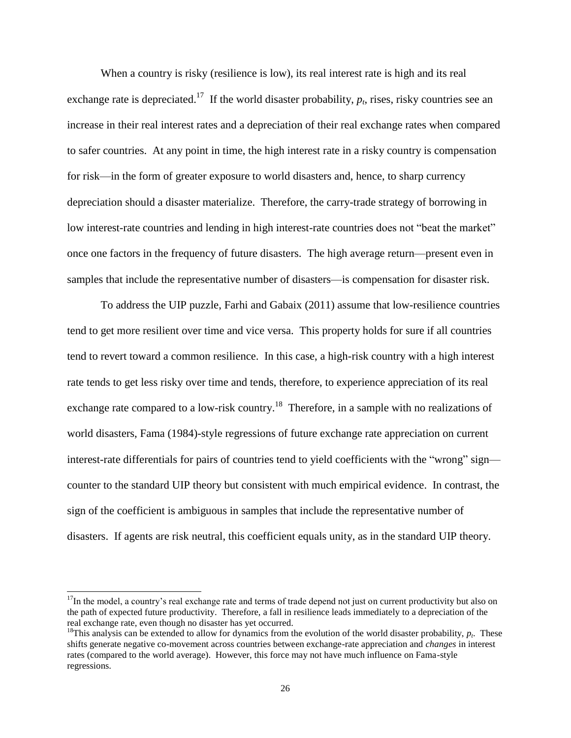When a country is risky (resilience is low), its real interest rate is high and its real exchange rate is depreciated.<sup>17</sup> If the world disaster probability,  $p_t$ , rises, risky countries see an increase in their real interest rates and a depreciation of their real exchange rates when compared to safer countries. At any point in time, the high interest rate in a risky country is compensation for risk—in the form of greater exposure to world disasters and, hence, to sharp currency depreciation should a disaster materialize. Therefore, the carry-trade strategy of borrowing in low interest-rate countries and lending in high interest-rate countries does not "beat the market" once one factors in the frequency of future disasters. The high average return—present even in samples that include the representative number of disasters—is compensation for disaster risk.

To address the UIP puzzle, Farhi and Gabaix (2011) assume that low-resilience countries tend to get more resilient over time and vice versa. This property holds for sure if all countries tend to revert toward a common resilience. In this case, a high-risk country with a high interest rate tends to get less risky over time and tends, therefore, to experience appreciation of its real exchange rate compared to a low-risk country.<sup>18</sup> Therefore, in a sample with no realizations of world disasters, Fama (1984)-style regressions of future exchange rate appreciation on current interest-rate differentials for pairs of countries tend to yield coefficients with the "wrong" sign counter to the standard UIP theory but consistent with much empirical evidence. In contrast, the sign of the coefficient is ambiguous in samples that include the representative number of disasters. If agents are risk neutral, this coefficient equals unity, as in the standard UIP theory.

 $17$ In the model, a country's real exchange rate and terms of trade depend not just on current productivity but also on the path of expected future productivity. Therefore, a fall in resilience leads immediately to a depreciation of the real exchange rate, even though no disaster has yet occurred.

<sup>&</sup>lt;sup>18</sup>This analysis can be extended to allow for dynamics from the evolution of the world disaster probability,  $p_t$ . These shifts generate negative co-movement across countries between exchange-rate appreciation and *changes* in interest rates (compared to the world average). However, this force may not have much influence on Fama-style regressions.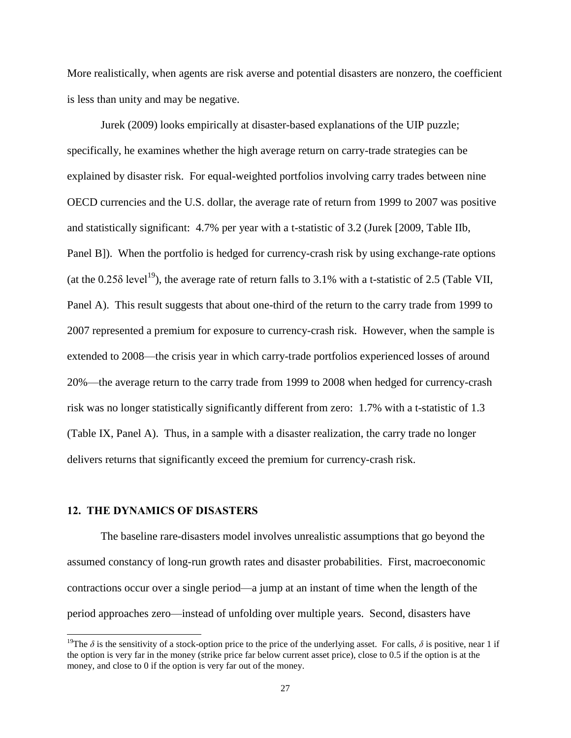More realistically, when agents are risk averse and potential disasters are nonzero, the coefficient is less than unity and may be negative.

Jurek (2009) looks empirically at disaster-based explanations of the UIP puzzle; specifically, he examines whether the high average return on carry-trade strategies can be explained by disaster risk. For equal-weighted portfolios involving carry trades between nine OECD currencies and the U.S. dollar, the average rate of return from 1999 to 2007 was positive and statistically significant: 4.7% per year with a t-statistic of 3.2 (Jurek [2009, Table IIb, Panel B]). When the portfolio is hedged for currency-crash risk by using exchange-rate options (at the  $0.25\delta$  level<sup>19</sup>), the average rate of return falls to 3.1% with a t-statistic of 2.5 (Table VII, Panel A). This result suggests that about one-third of the return to the carry trade from 1999 to 2007 represented a premium for exposure to currency-crash risk. However, when the sample is extended to 2008—the crisis year in which carry-trade portfolios experienced losses of around 20%—the average return to the carry trade from 1999 to 2008 when hedged for currency-crash risk was no longer statistically significantly different from zero: 1.7% with a t-statistic of 1.3 (Table IX, Panel A). Thus, in a sample with a disaster realization, the carry trade no longer delivers returns that significantly exceed the premium for currency-crash risk.

#### **12. THE DYNAMICS OF DISASTERS**

l

The baseline rare-disasters model involves unrealistic assumptions that go beyond the assumed constancy of long-run growth rates and disaster probabilities. First, macroeconomic contractions occur over a single period—a jump at an instant of time when the length of the period approaches zero—instead of unfolding over multiple years. Second, disasters have

<sup>&</sup>lt;sup>19</sup>The  $\delta$  is the sensitivity of a stock-option price to the price of the underlying asset. For calls,  $\delta$  is positive, near 1 if the option is very far in the money (strike price far below current asset price), close to 0.5 if the option is at the money, and close to 0 if the option is very far out of the money.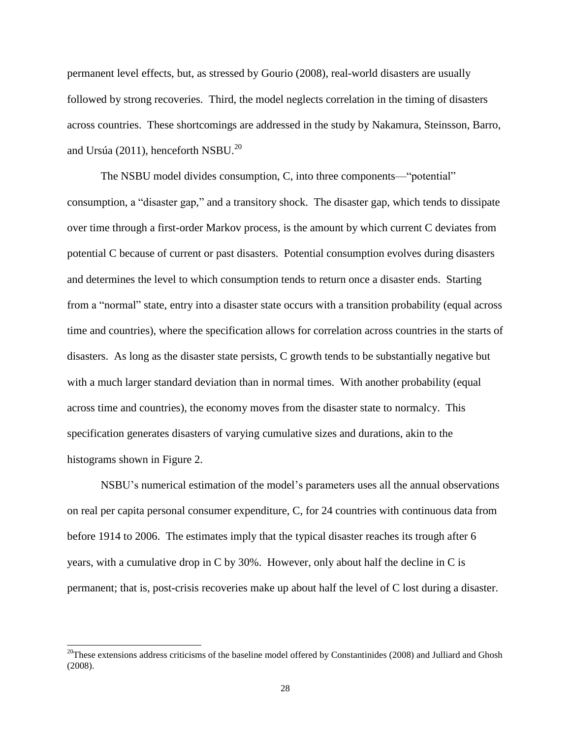permanent level effects, but, as stressed by Gourio (2008), real-world disasters are usually followed by strong recoveries. Third, the model neglects correlation in the timing of disasters across countries. These shortcomings are addressed in the study by Nakamura, Steinsson, Barro, and Ursúa (2011), henceforth NSBU. $^{20}$ 

The NSBU model divides consumption, C, into three components—"potential" consumption, a "disaster gap," and a transitory shock. The disaster gap, which tends to dissipate over time through a first-order Markov process, is the amount by which current C deviates from potential C because of current or past disasters. Potential consumption evolves during disasters and determines the level to which consumption tends to return once a disaster ends. Starting from a "normal" state, entry into a disaster state occurs with a transition probability (equal across time and countries), where the specification allows for correlation across countries in the starts of disasters. As long as the disaster state persists, C growth tends to be substantially negative but with a much larger standard deviation than in normal times. With another probability (equal across time and countries), the economy moves from the disaster state to normalcy. This specification generates disasters of varying cumulative sizes and durations, akin to the histograms shown in Figure 2.

NSBU's numerical estimation of the model's parameters uses all the annual observations on real per capita personal consumer expenditure, C, for 24 countries with continuous data from before 1914 to 2006. The estimates imply that the typical disaster reaches its trough after 6 years, with a cumulative drop in C by 30%. However, only about half the decline in C is permanent; that is, post-crisis recoveries make up about half the level of C lost during a disaster.

 $^{20}$ These extensions address criticisms of the baseline model offered by Constantinides (2008) and Julliard and Ghosh (2008).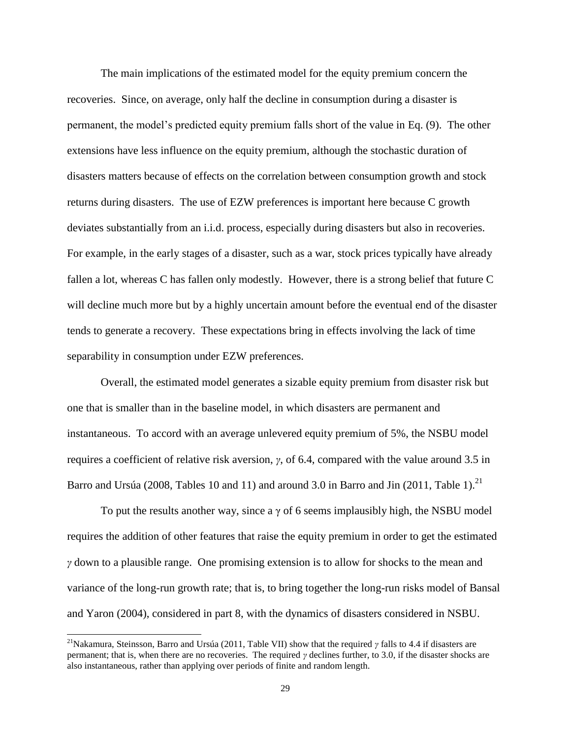The main implications of the estimated model for the equity premium concern the recoveries. Since, on average, only half the decline in consumption during a disaster is permanent, the model's predicted equity premium falls short of the value in Eq. (9). The other extensions have less influence on the equity premium, although the stochastic duration of disasters matters because of effects on the correlation between consumption growth and stock returns during disasters. The use of EZW preferences is important here because C growth deviates substantially from an i.i.d. process, especially during disasters but also in recoveries. For example, in the early stages of a disaster, such as a war, stock prices typically have already fallen a lot, whereas C has fallen only modestly. However, there is a strong belief that future C will decline much more but by a highly uncertain amount before the eventual end of the disaster tends to generate a recovery. These expectations bring in effects involving the lack of time separability in consumption under EZW preferences.

Overall, the estimated model generates a sizable equity premium from disaster risk but one that is smaller than in the baseline model, in which disasters are permanent and instantaneous. To accord with an average unlevered equity premium of 5%, the NSBU model requires a coefficient of relative risk aversion, *γ*, of 6.4, compared with the value around 3.5 in Barro and Ursúa (2008, Tables 10 and 11) and around 3.0 in Barro and Jin (2011, Table 1).<sup>21</sup>

To put the results another way, since a  $\gamma$  of 6 seems implausibly high, the NSBU model requires the addition of other features that raise the equity premium in order to get the estimated *γ* down to a plausible range. One promising extension is to allow for shocks to the mean and variance of the long-run growth rate; that is, to bring together the long-run risks model of Bansal and Yaron (2004), considered in part 8, with the dynamics of disasters considered in NSBU.

l

<sup>&</sup>lt;sup>21</sup>Nakamura, Steinsson, Barro and Ursúa (2011, Table VII) show that the required *γ* falls to 4.4 if disasters are permanent; that is, when there are no recoveries. The required *γ* declines further, to 3.0, if the disaster shocks are also instantaneous, rather than applying over periods of finite and random length.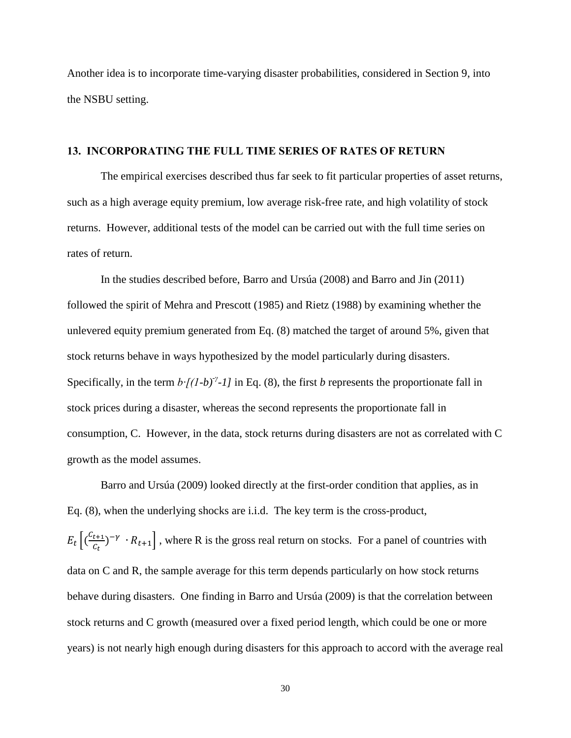Another idea is to incorporate time-varying disaster probabilities, considered in Section 9, into the NSBU setting.

#### **13. INCORPORATING THE FULL TIME SERIES OF RATES OF RETURN**

The empirical exercises described thus far seek to fit particular properties of asset returns, such as a high average equity premium, low average risk-free rate, and high volatility of stock returns. However, additional tests of the model can be carried out with the full time series on rates of return.

In the studies described before, Barro and Ursúa (2008) and Barro and Jin (2011) followed the spirit of Mehra and Prescott (1985) and Rietz (1988) by examining whether the unlevered equity premium generated from Eq. (8) matched the target of around 5%, given that stock returns behave in ways hypothesized by the model particularly during disasters. Specifically, in the term  $b$ *⋅[(1-b)<sup>-γ</sup>-1]* in Eq. (8), the first *b* represents the proportionate fall in stock prices during a disaster, whereas the second represents the proportionate fall in consumption, C. However, in the data, stock returns during disasters are not as correlated with C growth as the model assumes.

Barro and Ursúa (2009) looked directly at the first-order condition that applies, as in Eq. (8), when the underlying shocks are i.i.d. The key term is the cross-product,  $E_t\left[(\frac{C}{\epsilon}\right]$  $\left[\frac{t+1}{c_t}\right]^{-\gamma}$   $\cdot$   $R_{t+1}$ , where R is the gross real return on stocks. For a panel of countries with data on C and R, the sample average for this term depends particularly on how stock returns behave during disasters. One finding in Barro and Ursúa (2009) is that the correlation between stock returns and C growth (measured over a fixed period length, which could be one or more years) is not nearly high enough during disasters for this approach to accord with the average real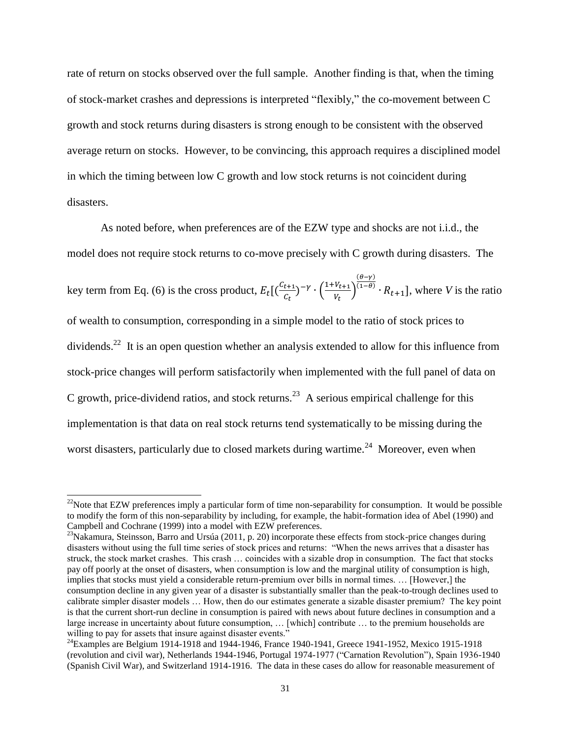rate of return on stocks observed over the full sample. Another finding is that, when the timing of stock-market crashes and depressions is interpreted "flexibly," the co-movement between C growth and stock returns during disasters is strong enough to be consistent with the observed average return on stocks. However, to be convincing, this approach requires a disciplined model in which the timing between low C growth and low stock returns is not coincident during disasters.

As noted before, when preferences are of the EZW type and shocks are not i.i.d., the model does not require stock returns to co-move precisely with C growth during disasters. The key term from Eq. (6) is the cross product,  $E_t\left[\frac{C}{C}\right]$  $\frac{t+1}{C_t}$ )<sup>- $\gamma$ </sup> ·  $\left(\frac{1}{C_t}\right)$  $\frac{V_{t+1}}{V_t}\Big)$  $(\theta - \gamma)$  $R_{t+1}$ , where *V* is the ratio of wealth to consumption, corresponding in a simple model to the ratio of stock prices to dividends.<sup>22</sup> It is an open question whether an analysis extended to allow for this influence from stock-price changes will perform satisfactorily when implemented with the full panel of data on C growth, price-dividend ratios, and stock returns.<sup>23</sup> A serious empirical challenge for this implementation is that data on real stock returns tend systematically to be missing during the worst disasters, particularly due to closed markets during wartime.<sup>24</sup> Moreover, even when

<sup>&</sup>lt;sup>22</sup>Note that EZW preferences imply a particular form of time non-separability for consumption. It would be possible to modify the form of this non-separability by including, for example, the habit-formation idea of Abel (1990) and Campbell and Cochrane (1999) into a model with EZW preferences.

<sup>&</sup>lt;sup>23</sup>Nakamura, Steinsson, Barro and Ursúa (2011, p. 20) incorporate these effects from stock-price changes during disasters without using the full time series of stock prices and returns: "When the news arrives that a disaster has struck, the stock market crashes. This crash … coincides with a sizable drop in consumption. The fact that stocks pay off poorly at the onset of disasters, when consumption is low and the marginal utility of consumption is high, implies that stocks must yield a considerable return-premium over bills in normal times. … [However,] the consumption decline in any given year of a disaster is substantially smaller than the peak-to-trough declines used to calibrate simpler disaster models … How, then do our estimates generate a sizable disaster premium? The key point is that the current short-run decline in consumption is paired with news about future declines in consumption and a large increase in uncertainty about future consumption, … [which] contribute … to the premium households are willing to pay for assets that insure against disaster events."

 $^{24}$ Examples are Belgium 1914-1918 and 1944-1946, France 1940-1941, Greece 1941-1952, Mexico 1915-1918 (revolution and civil war), Netherlands 1944-1946, Portugal 1974-1977 ("Carnation Revolution"), Spain 1936-1940 (Spanish Civil War), and Switzerland 1914-1916. The data in these cases do allow for reasonable measurement of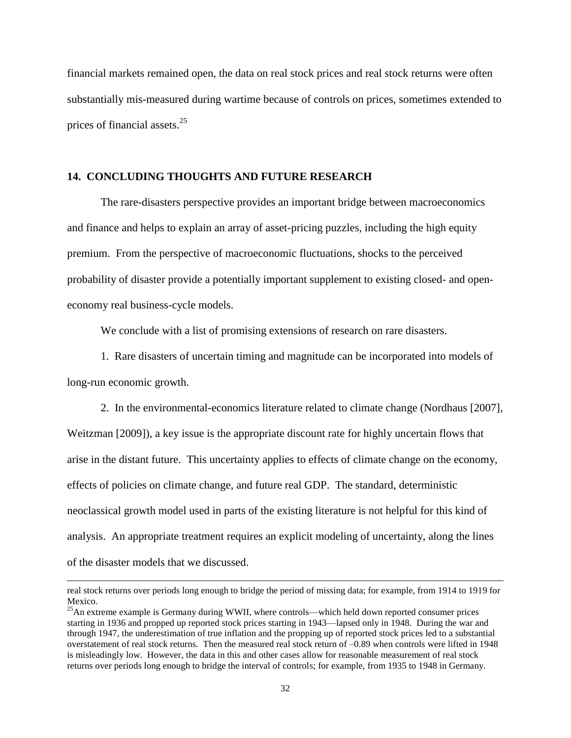financial markets remained open, the data on real stock prices and real stock returns were often substantially mis-measured during wartime because of controls on prices, sometimes extended to prices of financial assets. $25$ 

### **14. CONCLUDING THOUGHTS AND FUTURE RESEARCH**

The rare-disasters perspective provides an important bridge between macroeconomics and finance and helps to explain an array of asset-pricing puzzles, including the high equity premium. From the perspective of macroeconomic fluctuations, shocks to the perceived probability of disaster provide a potentially important supplement to existing closed- and openeconomy real business-cycle models.

We conclude with a list of promising extensions of research on rare disasters.

1. Rare disasters of uncertain timing and magnitude can be incorporated into models of long-run economic growth.

2. In the environmental-economics literature related to climate change (Nordhaus [2007], Weitzman [2009]), a key issue is the appropriate discount rate for highly uncertain flows that arise in the distant future. This uncertainty applies to effects of climate change on the economy, effects of policies on climate change, and future real GDP. The standard, deterministic neoclassical growth model used in parts of the existing literature is not helpful for this kind of analysis. An appropriate treatment requires an explicit modeling of uncertainty, along the lines of the disaster models that we discussed.

real stock returns over periods long enough to bridge the period of missing data; for example, from 1914 to 1919 for Mexico.

 $^{25}$ An extreme example is Germany during WWII, where controls—which held down reported consumer prices starting in 1936 and propped up reported stock prices starting in 1943—lapsed only in 1948. During the war and through 1947, the underestimation of true inflation and the propping up of reported stock prices led to a substantial overstatement of real stock returns. Then the measured real stock return of –0.89 when controls were lifted in 1948 is misleadingly low. However, the data in this and other cases allow for reasonable measurement of real stock returns over periods long enough to bridge the interval of controls; for example, from 1935 to 1948 in Germany.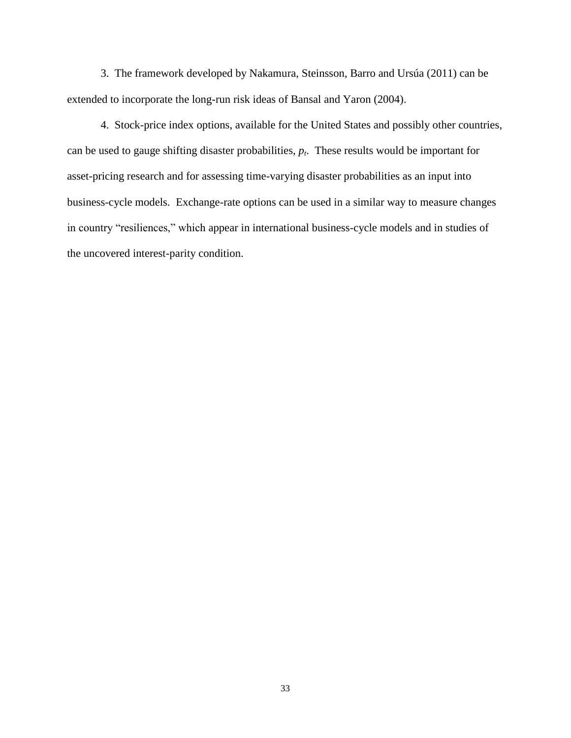3. The framework developed by Nakamura, Steinsson, Barro and Ursúa (2011) can be extended to incorporate the long-run risk ideas of Bansal and Yaron (2004).

4. Stock-price index options, available for the United States and possibly other countries, can be used to gauge shifting disaster probabilities, *p<sup>t</sup>* . These results would be important for asset-pricing research and for assessing time-varying disaster probabilities as an input into business-cycle models. Exchange-rate options can be used in a similar way to measure changes in country "resiliences," which appear in international business-cycle models and in studies of the uncovered interest-parity condition.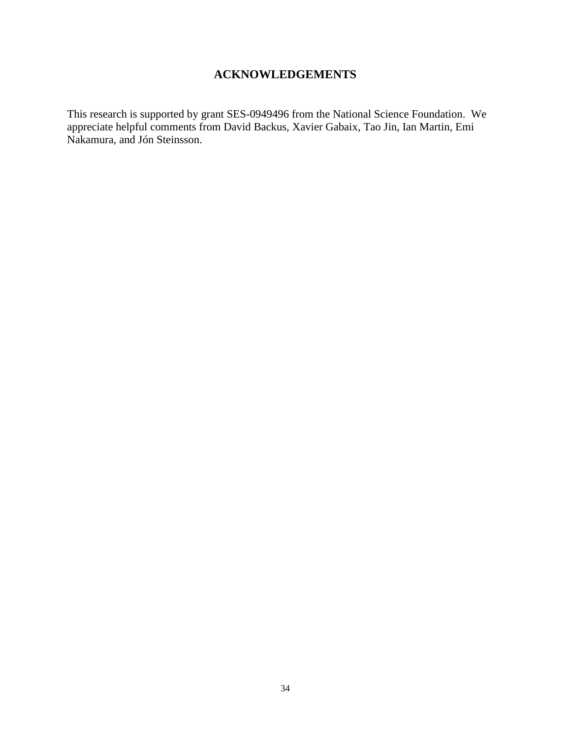# **ACKNOWLEDGEMENTS**

This research is supported by grant SES-0949496 from the National Science Foundation. We appreciate helpful comments from David Backus, Xavier Gabaix, Tao Jin, Ian Martin, Emi Nakamura, and Jón Steinsson.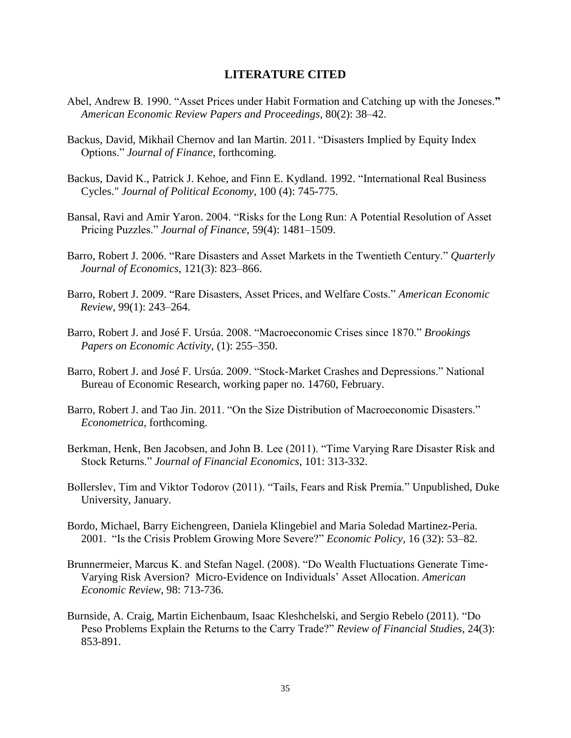### **LITERATURE CITED**

- Abel, Andrew B. 1990. "Asset Prices under Habit Formation and Catching up with the Joneses." *American Economic Review Papers and Proceedings*, 80(2): 38–42.
- Backus, David, Mikhail Chernov and Ian Martin. 2011. "Disasters Implied by Equity Index Options.‖ *Journal of Finance*, forthcoming.
- Backus, David K., Patrick J. Kehoe, and Finn E. Kydland. 1992. "International Real Business Cycles." *Journal of Political Economy*, 100 (4): 745-775.
- Bansal, Ravi and Amir Yaron. 2004. "Risks for the Long Run: A Potential Resolution of Asset Pricing Puzzles.‖ *Journal of Finance*, 59(4): 1481–1509.
- Barro, Robert J. 2006. "Rare Disasters and Asset Markets in the Twentieth Century." *Quarterly Journal of Economics*, 121(3): 823–866.
- Barro, Robert J. 2009. "Rare Disasters, Asset Prices, and Welfare Costs." *American Economic Review*, 99(1): 243–264.
- Barro, Robert J. and José F. Ursúa. 2008. "Macroeconomic Crises since 1870." *Brookings Papers on Economic Activity*, (1): 255–350.
- Barro, Robert J. and José F. Ursúa. 2009. "Stock-Market Crashes and Depressions." National Bureau of Economic Research, working paper no. 14760, February.
- Barro, Robert J. and Tao Jin. 2011. "On the Size Distribution of Macroeconomic Disasters."  *Econometrica*, forthcoming.
- Berkman, Henk, Ben Jacobsen, and John B. Lee (2011). "Time Varying Rare Disaster Risk and Stock Returns.‖ *Journal of Financial Economics*, 101: 313-332.
- Bollerslev, Tim and Viktor Todorov (2011). "Tails, Fears and Risk Premia." Unpublished, Duke University, January.
- Bordo, Michael, Barry Eichengreen, Daniela Klingebiel and Maria Soledad Martinez-Peria. 2001. ―Is the Crisis Problem Growing More Severe?‖ *Economic Policy*, 16 (32): 53–82.
- Brunnermeier, Marcus K. and Stefan Nagel. (2008). "Do Wealth Fluctuations Generate Time- Varying Risk Aversion? Micro-Evidence on Individuals' Asset Allocation. *American Economic Review*, 98: 713-736.
- Burnside, A. Craig, Martin Eichenbaum, Isaac Kleshchelski, and Sergio Rebelo (2011). "Do Peso Problems Explain the Returns to the Carry Trade?" *Review of Financial Studies*, 24(3): 853-891.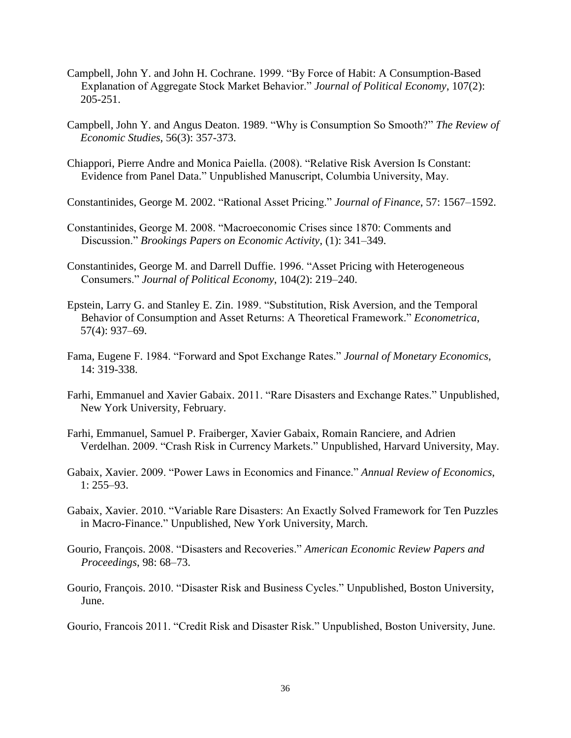- Campbell, John Y. and John H. Cochrane. 1999. "By Force of Habit: A Consumption-Based Explanation of Aggregate Stock Market Behavior.‖ *Journal of Political Economy*, 107(2): 205-251.
- Campbell, John Y. and Angus Deaton. 1989. "Why is Consumption So Smooth?" The Review of *Economic Studies*, 56(3): 357-373.
- Chiappori, Pierre Andre and Monica Paiella. (2008). "Relative Risk Aversion Is Constant: Evidence from Panel Data." Unpublished Manuscript, Columbia University, May.

Constantinides, George M. 2002. "Rational Asset Pricing." *Journal of Finance*, 57: 1567–1592.

- Constantinides, George M. 2008. "Macroeconomic Crises since 1870: Comments and Discussion.‖ *Brookings Papers on Economic Activity*, (1): 341–349.
- Constantinides, George M. and Darrell Duffie. 1996. "Asset Pricing with Heterogeneous Consumers.‖ *Journal of Political Economy*, 104(2): 219–240.
- Epstein, Larry G. and Stanley E. Zin. 1989. "Substitution, Risk Aversion, and the Temporal Behavior of Consumption and Asset Returns: A Theoretical Framework." *Econometrica*, 57(4): 937–69.
- Fama, Eugene F. 1984. "Forward and Spot Exchange Rates." *Journal of Monetary Economics*, 14: 319-338.
- Farhi, Emmanuel and Xavier Gabaix. 2011. "Rare Disasters and Exchange Rates." Unpublished, New York University, February.
- Farhi, Emmanuel, Samuel P. Fraiberger, Xavier Gabaix, Romain Ranciere, and Adrien Verdelhan. 2009. "Crash Risk in Currency Markets." Unpublished, Harvard University, May.
- Gabaix, Xavier. 2009. "Power Laws in Economics and Finance." *Annual Review of Economics*, 1: 255–93.
- Gabaix, Xavier. 2010. "Variable Rare Disasters: An Exactly Solved Framework for Ten Puzzles in Macro-Finance." Unpublished, New York University, March.
- Gourio, François. 2008. "Disasters and Recoveries." *American Economic Review Papers and Proceedings*, 98: 68–73.
- Gourio, François. 2010. "Disaster Risk and Business Cycles." Unpublished, Boston University, June.

Gourio, Francois 2011. "Credit Risk and Disaster Risk." Unpublished, Boston University, June.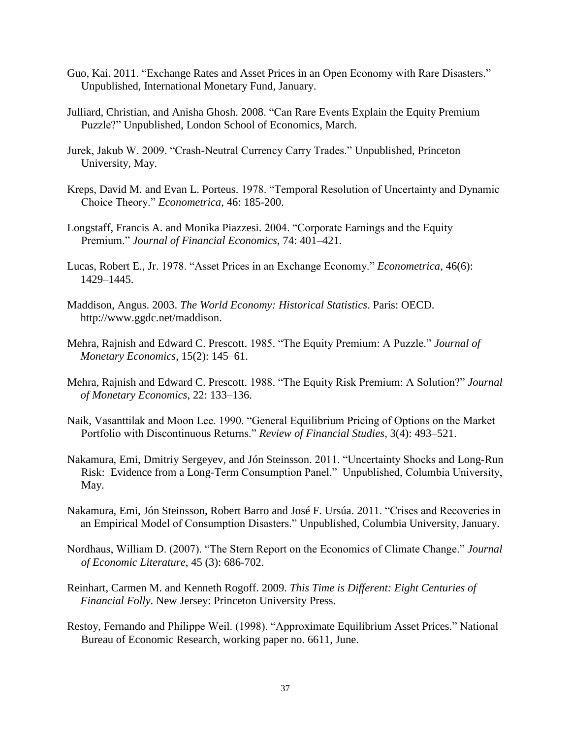- Guo, Kai. 2011. "Exchange Rates and Asset Prices in an Open Economy with Rare Disasters." Unpublished, International Monetary Fund, January.
- Julliard, Christian, and Anisha Ghosh. 2008. "Can Rare Events Explain the Equity Premium Puzzle?" Unpublished, London School of Economics, March.
- Jurek, Jakub W. 2009. "Crash-Neutral Currency Carry Trades." Unpublished, Princeton University, May.
- Kreps, David M. and Evan L. Porteus. 1978. "Temporal Resolution of Uncertainty and Dynamic Choice Theory." *Econometrica*, 46: 185-200.
- Longstaff, Francis A. and Monika Piazzesi. 2004. "Corporate Earnings and the Equity Premium." *Journal of Financial Economics*, 74: 401–421.
- Lucas, Robert E., Jr. 1978. "Asset Prices in an Exchange Economy." *Econometrica*, 46(6): 1429–1445.
- Maddison, Angus. 2003. *The World Economy: Historical Statistics*. Paris: OECD. http:/[/www.ggdc.net/maddison.](http://www.ggdc.net/maddison)
- Mehra, Rajnish and Edward C. Prescott. 1985. "The Equity Premium: A Puzzle." *Journal of Monetary Economics*, 15(2): 145–61.
- Mehra, Rajnish and Edward C. Prescott. 1988. "The Equity Risk Premium: A Solution?" *Journal of Monetary Economics*, 22: 133–136.
- Naik, Vasanttilak and Moon Lee. 1990. "General Equilibrium Pricing of Options on the Market Portfolio with Discontinuous Returns.‖ *Review of Financial Studies*, 3(4): 493–521.
- Nakamura, Emi, Dmitriy Sergeyev, and Jón Steinsson. 2011. "Uncertainty Shocks and Long-Run Risk: Evidence from a Long-Term Consumption Panel." Unpublished, Columbia University, May.
- Nakamura, Emi, Jón Steinsson, Robert Barro and José F. Ursúa. 2011. "Crises and Recoveries in an Empirical Model of Consumption Disasters." Unpublished, Columbia University, January.
- Nordhaus, William D. (2007). "The Stern Report on the Economics of Climate Change." *Journal of Economic Literature*, 45 (3): 686-702.
- Reinhart, Carmen M. and Kenneth Rogoff. 2009. *This Time is Different: Eight Centuries of Financial Folly*. New Jersey: Princeton University Press.
- Restoy, Fernando and Philippe Weil. (1998). "Approximate Equilibrium Asset Prices." National Bureau of Economic Research, working paper no. 6611, June.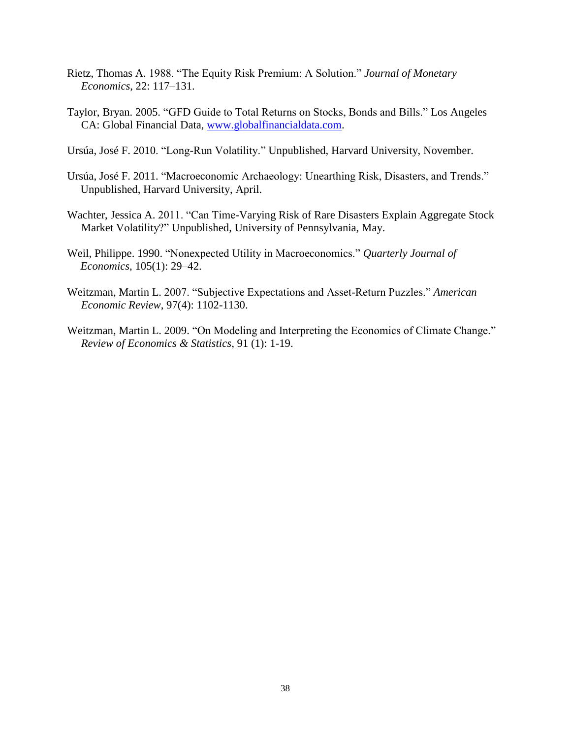- Rietz, Thomas A. 1988. "The Equity Risk Premium: A Solution." *Journal of Monetary Economics*, 22: 117–131.
- Taylor, Bryan. 2005. "GFD Guide to Total Returns on Stocks, Bonds and Bills." Los Angeles CA: Global Financial Data, [www.globalfinancialdata.com.](http://www.globalfinancialdata.com/)
- Ursúa, José F. 2010. "Long-Run Volatility." Unpublished, Harvard University, November.
- Ursúa, José F. 2011. "Macroeconomic Archaeology: Unearthing Risk, Disasters, and Trends." Unpublished, Harvard University, April.
- Wachter, Jessica A. 2011. "Can Time-Varying Risk of Rare Disasters Explain Aggregate Stock Market Volatility?" Unpublished, University of Pennsylvania, May.
- Weil, Philippe. 1990. "Nonexpected Utility in Macroeconomics." *Quarterly Journal of Economics*, 105(1): 29–42.
- Weitzman, Martin L. 2007. "Subjective Expectations and Asset-Return Puzzles." *American Economic Review*, 97(4): 1102-1130.
- Weitzman, Martin L. 2009. "On Modeling and Interpreting the Economics of Climate Change." *Review of Economics & Statistics*, 91 (1): 1-19.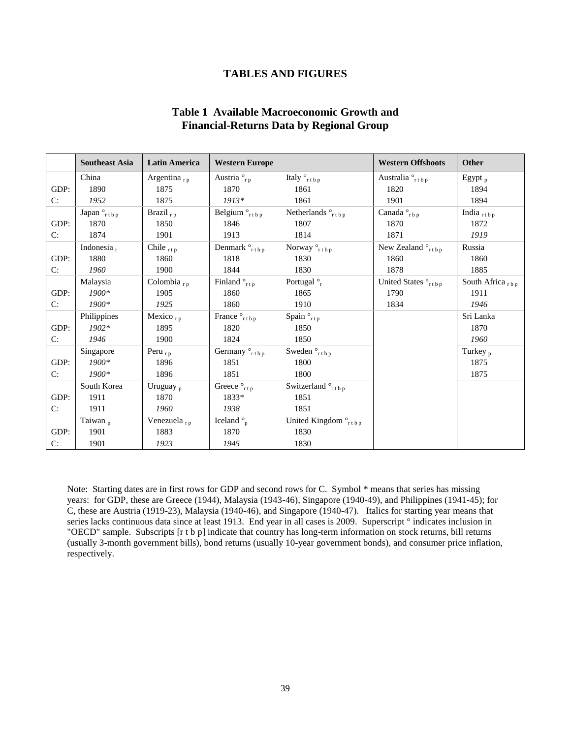### **TABLES AND FIGURES**

### **Table 1 Available Macroeconomic Growth and Financial-Returns Data by Regional Group**

<span id="page-40-0"></span>

|      | <b>Southeast Asia</b>  | <b>Latin America</b>    | <b>Western Europe</b>           |                                            | <b>Western Offshoots</b>               | <b>Other</b>                 |
|------|------------------------|-------------------------|---------------------------------|--------------------------------------------|----------------------------------------|------------------------------|
|      | China                  | Argentina <sub>rp</sub> | Austria $_{r,p}^{\circ}$        | Italy $_{\text{rtbp}}$                     | Australia $_{\text{rtbp}}^{\circ}$     | Egypt $_{\rm p}$             |
| GDP: | 1890                   | 1875                    | 1870                            | 1861                                       | 1820                                   | 1894                         |
| C:   | 1952                   | 1875                    | $1913*$                         | 1861                                       | 1901                                   | 1894                         |
|      | Japan $_{\text{rtbp}}$ | Brazil $_{rp}$          | Belgium $_{\text{rtbp}}$        | Netherlands $\circ$ <sub>rtbp</sub>        | Canada $_{rbp}^{\circ}$                | India $_{r \text{tbp}}$      |
| GDP: | 1870                   | 1850                    | 1846                            | 1807                                       | 1870                                   | 1872                         |
| C:   | 1874                   | 1901                    | 1913                            | 1814                                       | 1871                                   | 1919                         |
|      | Indonesia,             | Chile $_{\text{rtp}}$   | Denmark $_{\rm rtbp}$           | Norway $_{\text{rtbp}}^{\circ}$            | New Zealand $\degree$ <sub>rtbp</sub>  | Russia                       |
| GDP: | 1880                   | 1860                    | 1818                            | 1830                                       | 1860                                   | 1860                         |
| C:   | 1960                   | 1900                    | 1844                            | 1830                                       | 1878                                   | 1885                         |
|      | Malaysia               | Colombia $_{r,p}$       | Finland $_{rtp}^{\circ}$        | Portugal $\frac{6}{r}$                     | United States $_{\text{rtbp}}^{\circ}$ | South Africa $_{\text{rbp}}$ |
| GDP: | $1900*$                | 1905                    | 1860                            | 1865                                       | 1790                                   | 1911                         |
| C:   | $1900*$                | 1925                    | 1860                            | 1910                                       | 1834                                   | 1946                         |
|      | Philippines            | Mexico $_{\rm rp}$      | France $_{\text{rtbp}}^{\circ}$ | Spain $_{rtp}^{\circ}$                     |                                        | Sri Lanka                    |
| GDP: | $1902*$                | 1895                    | 1820                            | 1850                                       |                                        | 1870                         |
| C:   | 1946                   | 1900                    | 1824                            | 1850                                       |                                        | 1960                         |
|      | Singapore              | Peru $_{rp}$            | Germany ° <sub>rtbp</sub>       | Sweden $_{r \text{tbp}}^{\circ}$           |                                        | Turkey <sub>p</sub>          |
| GDP: | $1900*$                | 1896                    | 1851                            | 1800                                       |                                        | 1875                         |
| C:   | $1900*$                | 1896                    | 1851                            | 1800                                       |                                        | 1875                         |
|      | South Korea            | Uruguay <sub>p</sub>    | Greece $_{rtp}^{\circ}$         | Switzerland $\int_{rtbp}^r$                |                                        |                              |
| GDP: | 1911                   | 1870                    | 1833*                           | 1851                                       |                                        |                              |
| C:   | 1911                   | 1960                    | 1938                            | 1851                                       |                                        |                              |
|      | Taiwan <sub>p</sub>    | Venezuela <sub>rp</sub> | Iceland $\degree$ <sub>p</sub>  | United Kingdom $\degree$ <sub>rt b p</sub> |                                        |                              |
| GDP: | 1901                   | 1883                    | 1870                            | 1830                                       |                                        |                              |
| C:   | 1901                   | 1923                    | 1945                            | 1830                                       |                                        |                              |

Note: Starting dates are in first rows for GDP and second rows for C. Symbol \* means that series has missing years: for GDP, these are Greece (1944), Malaysia (1943-46), Singapore (1940-49), and Philippines (1941-45); for C, these are Austria (1919-23), Malaysia (1940-46), and Singapore (1940-47). Italics for starting year means that series lacks continuous data since at least 1913. End year in all cases is 2009. Superscript ° indicates inclusion in "OECD" sample. Subscripts [r t b p] indicate that country has long-term information on stock returns, bill returns (usually 3-month government bills), bond returns (usually 10-year government bonds), and consumer price inflation, respectively.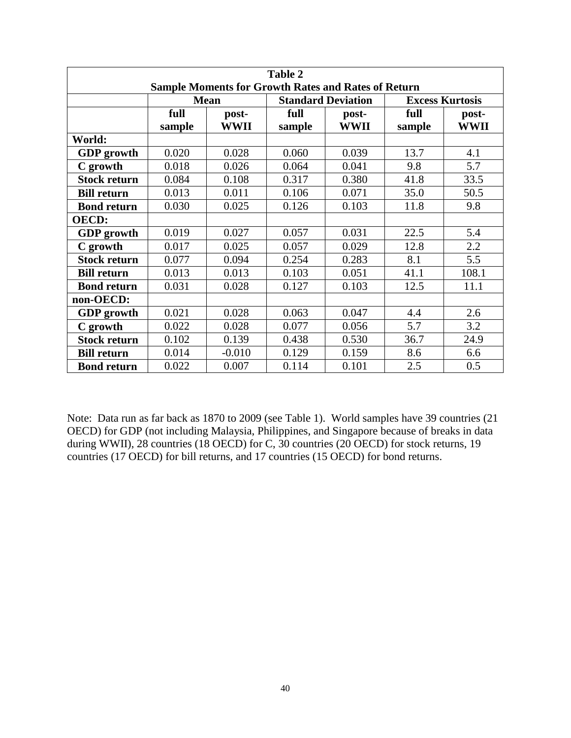| <b>Table 2</b>                                             |             |             |                           |             |                        |             |  |
|------------------------------------------------------------|-------------|-------------|---------------------------|-------------|------------------------|-------------|--|
| <b>Sample Moments for Growth Rates and Rates of Return</b> |             |             |                           |             |                        |             |  |
|                                                            | <b>Mean</b> |             | <b>Standard Deviation</b> |             | <b>Excess Kurtosis</b> |             |  |
|                                                            | full        | post-       | full                      | post-       | full                   | post-       |  |
|                                                            | sample      | <b>WWII</b> | sample                    | <b>WWII</b> | sample                 | <b>WWII</b> |  |
| World:                                                     |             |             |                           |             |                        |             |  |
| <b>GDP</b> growth                                          | 0.020       | 0.028       | 0.060                     | 0.039       | 13.7                   | 4.1         |  |
| C growth                                                   | 0.018       | 0.026       | 0.064                     | 0.041       | 9.8                    | 5.7         |  |
| <b>Stock return</b>                                        | 0.084       | 0.108       | 0.317                     | 0.380       | 41.8                   | 33.5        |  |
| <b>Bill return</b>                                         | 0.013       | 0.011       | 0.106                     | 0.071       | 35.0                   | 50.5        |  |
| <b>Bond return</b>                                         | 0.030       | 0.025       | 0.126                     | 0.103       | 11.8                   | 9.8         |  |
| <b>OECD:</b>                                               |             |             |                           |             |                        |             |  |
| <b>GDP</b> growth                                          | 0.019       | 0.027       | 0.057                     | 0.031       | 22.5                   | 5.4         |  |
| C growth                                                   | 0.017       | 0.025       | 0.057                     | 0.029       | 12.8                   | 2.2         |  |
| <b>Stock return</b>                                        | 0.077       | 0.094       | 0.254                     | 0.283       | 8.1                    | 5.5         |  |
| <b>Bill return</b>                                         | 0.013       | 0.013       | 0.103                     | 0.051       | 41.1                   | 108.1       |  |
| <b>Bond return</b>                                         | 0.031       | 0.028       | 0.127                     | 0.103       | 12.5                   | 11.1        |  |
| non-OECD:                                                  |             |             |                           |             |                        |             |  |
| <b>GDP</b> growth                                          | 0.021       | 0.028       | 0.063                     | 0.047       | 4.4                    | 2.6         |  |
| C growth                                                   | 0.022       | 0.028       | 0.077                     | 0.056       | 5.7                    | 3.2         |  |
| <b>Stock return</b>                                        | 0.102       | 0.139       | 0.438                     | 0.530       | 36.7                   | 24.9        |  |
| <b>Bill return</b>                                         | 0.014       | $-0.010$    | 0.129                     | 0.159       | 8.6                    | 6.6         |  |
| <b>Bond return</b>                                         | 0.022       | 0.007       | 0.114                     | 0.101       | 2.5                    | 0.5         |  |

Note: Data run as far back as 1870 to 2009 (see Table 1). World samples have 39 countries (21 OECD) for GDP (not including Malaysia, Philippines, and Singapore because of breaks in data during WWII), 28 countries (18 OECD) for C, 30 countries (20 OECD) for stock returns, 19 countries (17 OECD) for bill returns, and 17 countries (15 OECD) for bond returns.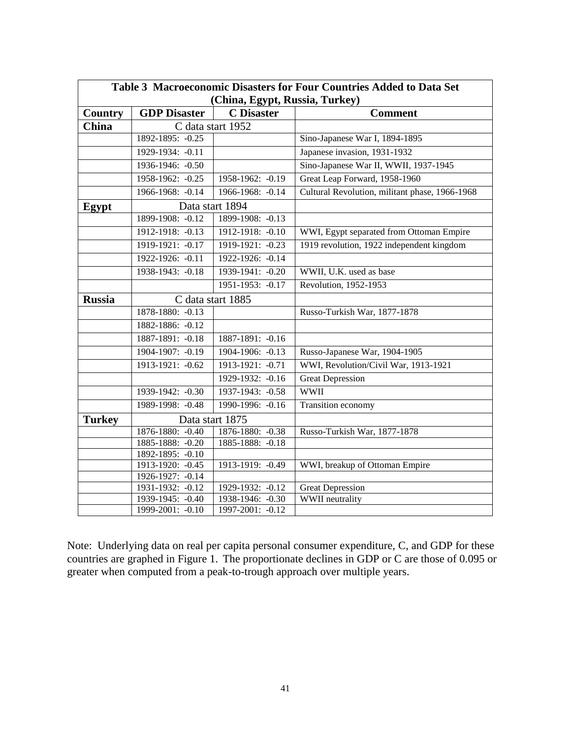| Table 3 Macroeconomic Disasters for Four Countries Added to Data Set |                         |                                    |                                                |  |  |  |
|----------------------------------------------------------------------|-------------------------|------------------------------------|------------------------------------------------|--|--|--|
| (China, Egypt, Russia, Turkey)                                       |                         |                                    |                                                |  |  |  |
| Country                                                              | <b>GDP</b> Disaster     | <b>C</b> Disaster                  | <b>Comment</b>                                 |  |  |  |
| <b>China</b>                                                         | C data start 1952       |                                    |                                                |  |  |  |
|                                                                      | 1892-1895: -0.25        |                                    | Sino-Japanese War I, 1894-1895                 |  |  |  |
|                                                                      | 1929-1934: -0.11        |                                    | Japanese invasion, 1931-1932                   |  |  |  |
|                                                                      | 1936-1946: -0.50        |                                    | Sino-Japanese War II, WWII, 1937-1945          |  |  |  |
|                                                                      | 1958-1962: -0.25        | 1958-1962: -0.19                   | Great Leap Forward, 1958-1960                  |  |  |  |
|                                                                      | 1966-1968: -0.14        | 1966-1968: -0.14                   | Cultural Revolution, militant phase, 1966-1968 |  |  |  |
| Egypt                                                                | Data start 1894         |                                    |                                                |  |  |  |
|                                                                      | 1899-1908: -0.12        | 1899-1908: -0.13                   |                                                |  |  |  |
|                                                                      | 1912-1918: -0.13        | 1912-1918: -0.10                   | WWI, Egypt separated from Ottoman Empire       |  |  |  |
|                                                                      | 1919-1921: -0.17        | 1919-1921: -0.23                   | 1919 revolution, 1922 independent kingdom      |  |  |  |
|                                                                      | 1922-1926: -0.11        | 1922-1926: -0.14                   |                                                |  |  |  |
|                                                                      | 1938-1943: -0.18        | 1939-1941: -0.20                   | WWII, U.K. used as base                        |  |  |  |
|                                                                      |                         | 1951-1953: -0.17                   | Revolution, 1952-1953                          |  |  |  |
| <b>Russia</b>                                                        | C data start 1885       |                                    |                                                |  |  |  |
|                                                                      | 1878-1880: -0.13        |                                    | Russo-Turkish War, 1877-1878                   |  |  |  |
|                                                                      | 1882-1886: -0.12        |                                    |                                                |  |  |  |
|                                                                      | 1887-1891: -0.18        | 1887-1891: -0.16                   |                                                |  |  |  |
|                                                                      | 1904-1907: -0.19        | 1904-1906: -0.13                   | Russo-Japanese War, 1904-1905                  |  |  |  |
|                                                                      | 1913-1921: -0.62        | 1913-1921: -0.71                   | WWI, Revolution/Civil War, 1913-1921           |  |  |  |
|                                                                      |                         | 1929-1932: -0.16                   | <b>Great Depression</b>                        |  |  |  |
|                                                                      | 1939-1942: -0.30        | 1937-1943: -0.58                   | <b>WWII</b>                                    |  |  |  |
|                                                                      | 1989-1998: -0.48        | 1990-1996: -0.16                   | Transition economy                             |  |  |  |
| <b>Turkey</b>                                                        |                         | Data start 1875                    |                                                |  |  |  |
|                                                                      | 1876-1880: -0.40        | 1876-1880: -0.38                   | Russo-Turkish War, 1877-1878                   |  |  |  |
|                                                                      | 1885-1888: -0.20        | 1885-1888: -0.18                   |                                                |  |  |  |
|                                                                      | 1892-1895: -0.10        |                                    |                                                |  |  |  |
|                                                                      | 1913-1920: -0.45        | 1913-1919: -0.49                   | WWI, breakup of Ottoman Empire                 |  |  |  |
|                                                                      | 1926-1927: -0.14        |                                    |                                                |  |  |  |
|                                                                      | 1931-1932: -0.12        | 1929-1932: -0.12                   | <b>Great Depression</b>                        |  |  |  |
|                                                                      | 1939-1945: -0.40        | 1938-1946: -0.30                   | <b>WWII</b> neutrality                         |  |  |  |
|                                                                      | $1999 - 2001$ : $-0.10$ | $1997 - 2001$ : $-\overline{0.12}$ |                                                |  |  |  |

Note: Underlying data on real per capita personal consumer expenditure, C, and GDP for these countries are graphed in Figure 1. The proportionate declines in GDP or C are those of 0.095 or greater when computed from a peak-to-trough approach over multiple years.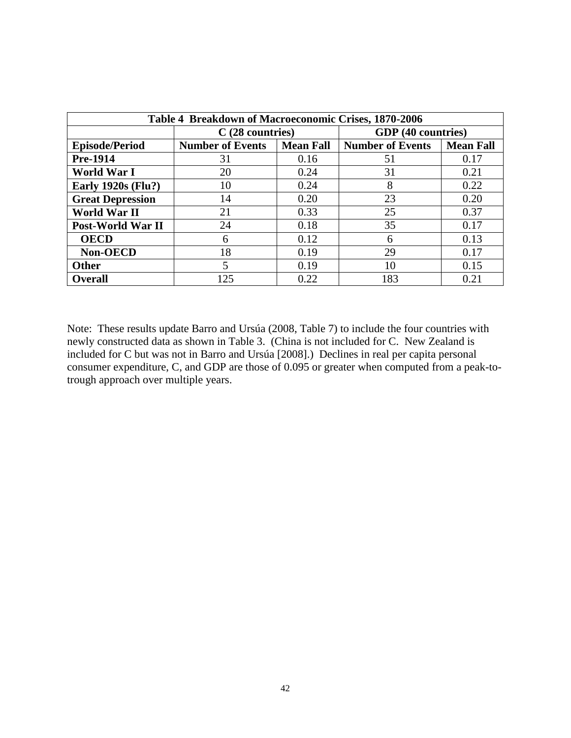| Table 4 Breakdown of Macroeconomic Crises, 1870-2006 |                         |                  |                         |                  |  |  |
|------------------------------------------------------|-------------------------|------------------|-------------------------|------------------|--|--|
|                                                      | $C(28$ countries)       |                  | GDP (40 countries)      |                  |  |  |
| <b>Episode/Period</b>                                | <b>Number of Events</b> | <b>Mean Fall</b> | <b>Number of Events</b> | <b>Mean Fall</b> |  |  |
| Pre-1914                                             | 31                      | 0.16             | 51                      | 0.17             |  |  |
| World War I                                          | 20                      | 0.24             | 31                      | 0.21             |  |  |
| <b>Early 1920s (Flu?)</b>                            | 10                      | 0.24             | 8                       | 0.22             |  |  |
| <b>Great Depression</b>                              | 14                      | 0.20             | 23                      | 0.20             |  |  |
| <b>World War II</b>                                  | 21                      | 0.33             | 25                      | 0.37             |  |  |
| Post-World War II                                    | 24                      | 0.18             | 35                      | 0.17             |  |  |
| <b>OECD</b>                                          | 6                       | 0.12             | 6                       | 0.13             |  |  |
| Non-OECD                                             | 18                      | 0.19             | 29                      | 0.17             |  |  |
| <b>Other</b>                                         | 5                       | 0.19             | 10                      | 0.15             |  |  |
| <b>Overall</b>                                       | 125                     | 0.22             | 183                     | 0.21             |  |  |

Note: These results update Barro and Ursúa (2008, Table 7) to include the four countries with newly constructed data as shown in Table 3. (China is not included for C. New Zealand is included for C but was not in Barro and Ursúa [2008].) Declines in real per capita personal consumer expenditure, C, and GDP are those of 0.095 or greater when computed from a peak-totrough approach over multiple years.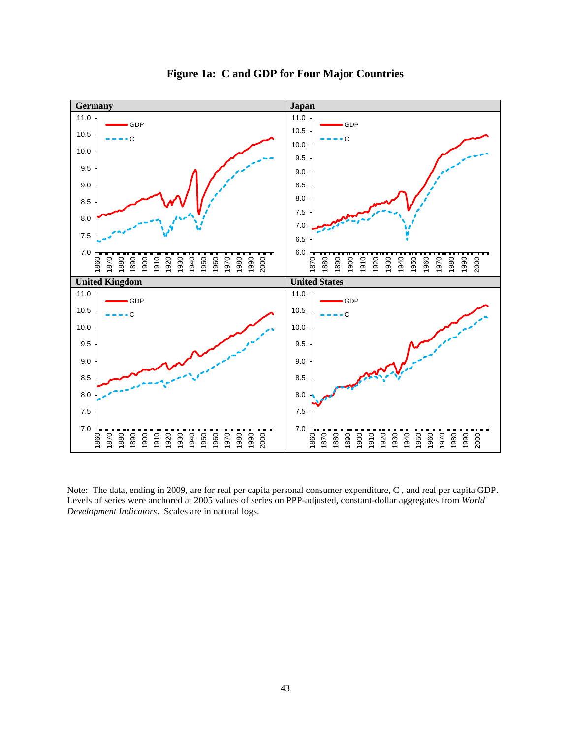

**Figure 1a: C and GDP for Four Major Countries**

Note: The data, ending in 2009, are for real per capita personal consumer expenditure, C , and real per capita GDP. Levels of series were anchored at 2005 values of series on PPP-adjusted, constant-dollar aggregates from *World Development Indicators*. Scales are in natural logs.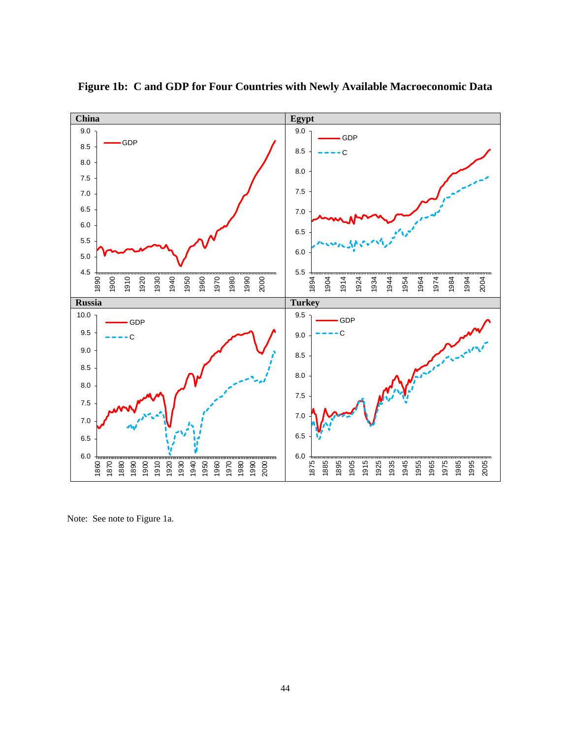

**Figure 1b: C and GDP for Four Countries with Newly Available Macroeconomic Data**

Note: See note to Figure 1a.